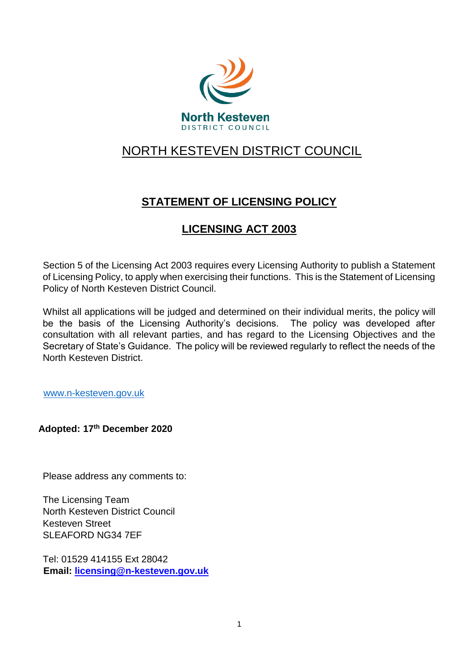

# NORTH KESTEVEN DISTRICT COUNCIL

# **STATEMENT OF LICENSING POLICY**

# **LICENSING ACT 2003**

Section 5 of the Licensing Act 2003 requires every Licensing Authority to publish a Statement of Licensing Policy, to apply when exercising their functions. This is the Statement of Licensing Policy of North Kesteven District Council.

Whilst all applications will be judged and determined on their individual merits, the policy will be the basis of the Licensing Authority's decisions. The policy was developed after consultation with all relevant parties, and has regard to the Licensing Objectives and the Secretary of State's Guidance. The policy will be reviewed regularly to reflect the needs of the North Kesteven District.

[www.n-kesteven.gov.uk](http://www.n-kesteven.gov.uk/)

**Adopted: 17th December 2020** 

Please address any comments to:

The Licensing Team North Kesteven District Council Kesteven Street SLEAFORD NG34 7EF

Tel: 01529 414155 Ext 28042 **Email: licensing@n-kesteven.gov.uk**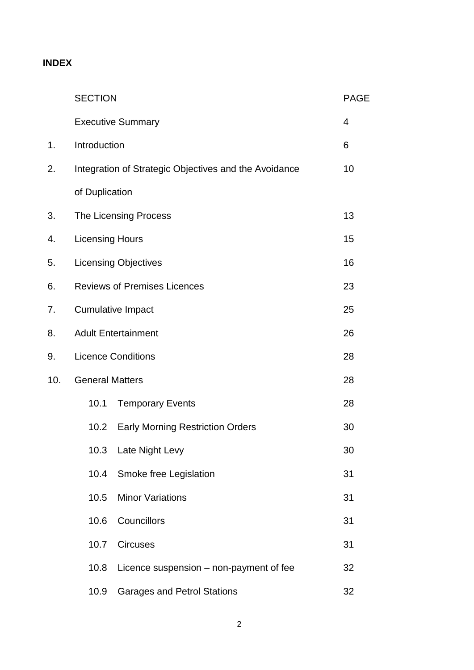## **INDEX**

|     | <b>SECTION</b>         |                                                       | <b>PAGE</b> |
|-----|------------------------|-------------------------------------------------------|-------------|
|     |                        | <b>Executive Summary</b>                              | 4           |
| 1.  | Introduction           |                                                       | 6           |
| 2.  |                        | Integration of Strategic Objectives and the Avoidance | 10          |
|     | of Duplication         |                                                       |             |
| 3.  |                        | The Licensing Process                                 | 13          |
| 4.  | <b>Licensing Hours</b> |                                                       | 15          |
| 5.  |                        | <b>Licensing Objectives</b>                           | 16          |
| 6.  |                        | <b>Reviews of Premises Licences</b>                   | 23          |
| 7.  |                        | <b>Cumulative Impact</b>                              | 25          |
| 8.  |                        | <b>Adult Entertainment</b>                            | 26          |
| 9.  |                        | <b>Licence Conditions</b>                             | 28          |
| 10. | <b>General Matters</b> |                                                       | 28          |
|     | 10.1                   | <b>Temporary Events</b>                               | 28          |
|     | 10.2                   | <b>Early Morning Restriction Orders</b>               | 30          |
|     |                        | 10.3 Late Night Levy                                  | 30          |
|     | 10.4                   | Smoke free Legislation                                | 31          |
|     | 10.5                   | <b>Minor Variations</b>                               | 31          |
|     | 10.6                   | Councillors                                           | 31          |
|     | 10.7                   | <b>Circuses</b>                                       | 31          |
|     | 10.8                   | Licence suspension - non-payment of fee               | 32          |
|     | 10.9                   | <b>Garages and Petrol Stations</b>                    | 32          |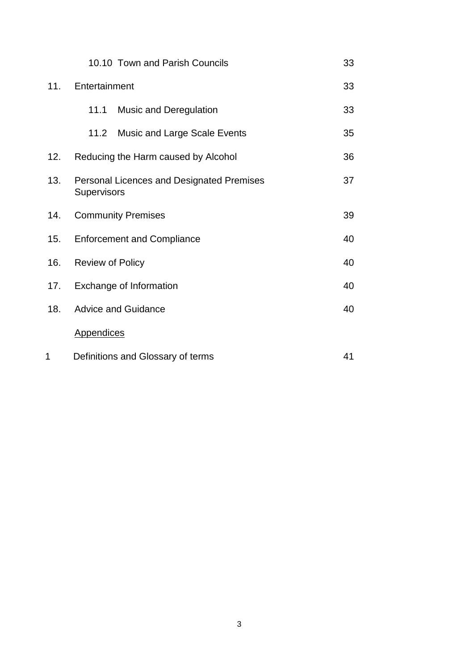|     | 10.10 Town and Parish Councils                                  | 33 |
|-----|-----------------------------------------------------------------|----|
| 11. | Entertainment                                                   |    |
|     | 11.1<br><b>Music and Deregulation</b>                           | 33 |
|     | 11.2<br><b>Music and Large Scale Events</b>                     | 35 |
| 12. | Reducing the Harm caused by Alcohol                             | 36 |
| 13. | <b>Personal Licences and Designated Premises</b><br>Supervisors | 37 |
| 14. | <b>Community Premises</b>                                       | 39 |
| 15. | <b>Enforcement and Compliance</b>                               | 40 |
| 16. | <b>Review of Policy</b>                                         | 40 |
| 17. | Exchange of Information                                         | 40 |
| 18. | <b>Advice and Guidance</b>                                      | 40 |
|     | <b>Appendices</b>                                               |    |
| 1   | Definitions and Glossary of terms                               | 41 |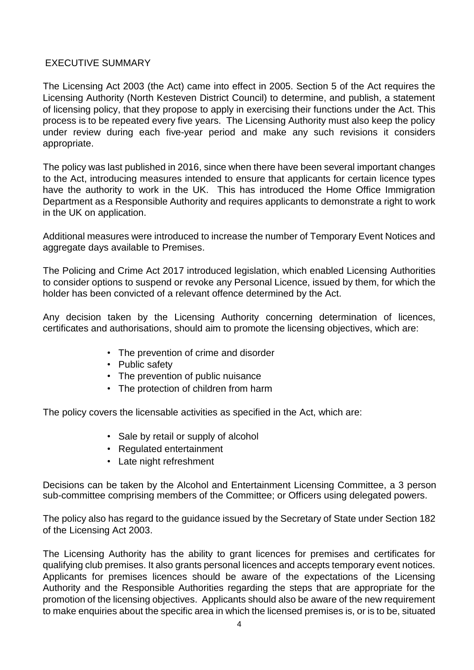## EXECUTIVE SUMMARY

The Licensing Act 2003 (the Act) came into effect in 2005. Section 5 of the Act requires the Licensing Authority (North Kesteven District Council) to determine, and publish, a statement of licensing policy, that they propose to apply in exercising their functions under the Act. This process is to be repeated every five years. The Licensing Authority must also keep the policy under review during each five-year period and make any such revisions it considers appropriate.

The policy was last published in 2016, since when there have been several important changes to the Act, introducing measures intended to ensure that applicants for certain licence types have the authority to work in the UK. This has introduced the Home Office Immigration Department as a Responsible Authority and requires applicants to demonstrate a right to work in the UK on application.

Additional measures were introduced to increase the number of Temporary Event Notices and aggregate days available to Premises.

The Policing and Crime Act 2017 introduced legislation, which enabled Licensing Authorities to consider options to suspend or revoke any Personal Licence, issued by them, for which the holder has been convicted of a relevant offence determined by the Act.

Any decision taken by the Licensing Authority concerning determination of licences, certificates and authorisations, should aim to promote the licensing objectives, which are:

- The prevention of crime and disorder
- Public safety
- The prevention of public nuisance
- The protection of children from harm

The policy covers the licensable activities as specified in the Act, which are:

- Sale by retail or supply of alcohol
- Regulated entertainment
- Late night refreshment

Decisions can be taken by the Alcohol and Entertainment Licensing Committee, a 3 person sub-committee comprising members of the Committee; or Officers using delegated powers.

The policy also has regard to the guidance issued by the Secretary of State under Section 182 of the Licensing Act 2003.

The Licensing Authority has the ability to grant licences for premises and certificates for qualifying club premises. It also grants personal licences and accepts temporary event notices. Applicants for premises licences should be aware of the expectations of the Licensing Authority and the Responsible Authorities regarding the steps that are appropriate for the promotion of the licensing objectives. Applicants should also be aware of the new requirement to make enquiries about the specific area in which the licensed premises is, or is to be, situated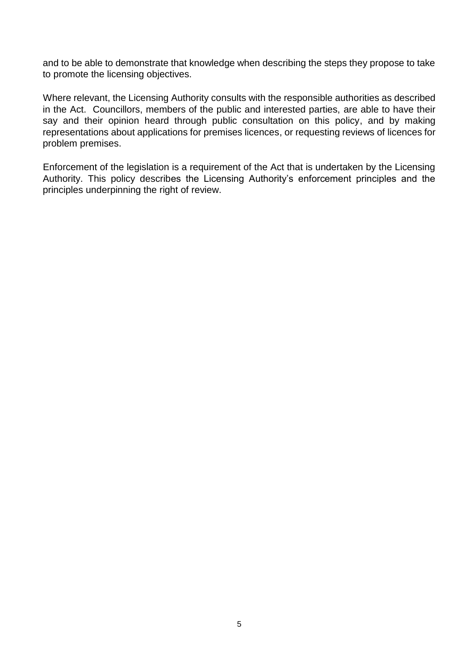and to be able to demonstrate that knowledge when describing the steps they propose to take to promote the licensing objectives.

Where relevant, the Licensing Authority consults with the responsible authorities as described in the Act. Councillors, members of the public and interested parties, are able to have their say and their opinion heard through public consultation on this policy, and by making representations about applications for premises licences, or requesting reviews of licences for problem premises.

Enforcement of the legislation is a requirement of the Act that is undertaken by the Licensing Authority. This policy describes the Licensing Authority's enforcement principles and the principles underpinning the right of review.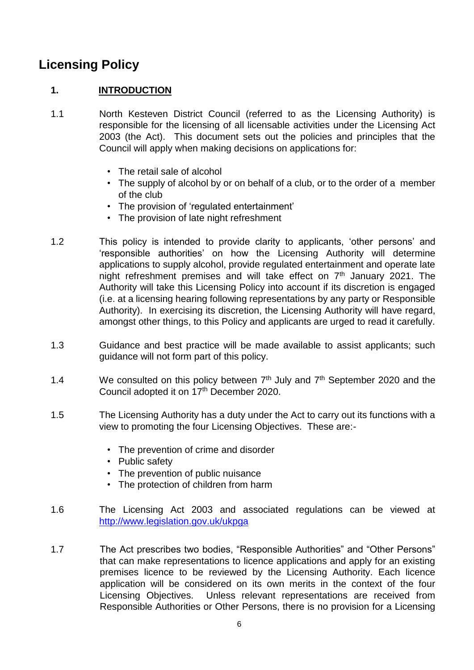# **Licensing Policy**

## **1. INTRODUCTION**

- 1.1 North Kesteven District Council (referred to as the Licensing Authority) is responsible for the licensing of all licensable activities under the Licensing Act 2003 (the Act). This document sets out the policies and principles that the Council will apply when making decisions on applications for:
	- The retail sale of alcohol
	- The supply of alcohol by or on behalf of a club, or to the order of a member of the club
	- The provision of 'regulated entertainment'
	- The provision of late night refreshment
- 1.2 This policy is intended to provide clarity to applicants, 'other persons' and 'responsible authorities' on how the Licensing Authority will determine applications to supply alcohol, provide regulated entertainment and operate late night refreshment premises and will take effect on  $7<sup>th</sup>$  January 2021. The Authority will take this Licensing Policy into account if its discretion is engaged (i.e. at a licensing hearing following representations by any party or Responsible Authority). In exercising its discretion, the Licensing Authority will have regard, amongst other things, to this Policy and applicants are urged to read it carefully.
- 1.3 Guidance and best practice will be made available to assist applicants; such guidance will not form part of this policy.
- 1.4 We consulted on this policy between  $7<sup>th</sup>$  July and  $7<sup>th</sup>$  September 2020 and the Council adopted it on 17<sup>th</sup> December 2020.
- 1.5 The Licensing Authority has a duty under the Act to carry out its functions with a view to promoting the four Licensing Objectives. These are:-
	- The prevention of crime and disorder
	- Public safety
	- The prevention of public nuisance
	- The protection of children from harm
- 1.6 The Licensing Act 2003 and associated regulations can be viewed at <http://www.legislation.gov.uk/ukpga>
- 1.7 The Act prescribes two bodies, "Responsible Authorities" and "Other Persons" that can make representations to licence applications and apply for an existing premises licence to be reviewed by the Licensing Authority. Each licence application will be considered on its own merits in the context of the four Licensing Objectives. Unless relevant representations are received from Responsible Authorities or Other Persons, there is no provision for a Licensing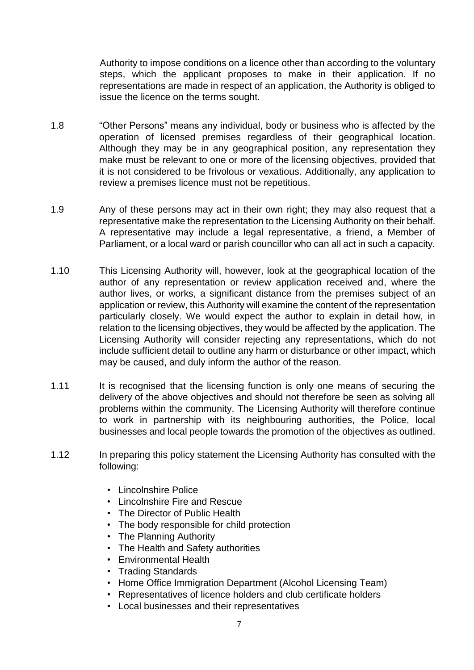Authority to impose conditions on a licence other than according to the voluntary steps, which the applicant proposes to make in their application. If no representations are made in respect of an application, the Authority is obliged to issue the licence on the terms sought.

- 1.8 "Other Persons" means any individual, body or business who is affected by the operation of licensed premises regardless of their geographical location. Although they may be in any geographical position, any representation they make must be relevant to one or more of the licensing objectives, provided that it is not considered to be frivolous or vexatious. Additionally, any application to review a premises licence must not be repetitious.
- 1.9 Any of these persons may act in their own right; they may also request that a representative make the representation to the Licensing Authority on their behalf. A representative may include a legal representative, a friend, a Member of Parliament, or a local ward or parish councillor who can all act in such a capacity.
- 1.10 This Licensing Authority will, however, look at the geographical location of the author of any representation or review application received and, where the author lives, or works, a significant distance from the premises subject of an application or review, this Authority will examine the content of the representation particularly closely. We would expect the author to explain in detail how, in relation to the licensing objectives, they would be affected by the application. The Licensing Authority will consider rejecting any representations, which do not include sufficient detail to outline any harm or disturbance or other impact, which may be caused, and duly inform the author of the reason.
- 1.11 It is recognised that the licensing function is only one means of securing the delivery of the above objectives and should not therefore be seen as solving all problems within the community. The Licensing Authority will therefore continue to work in partnership with its neighbouring authorities, the Police, local businesses and local people towards the promotion of the objectives as outlined.
- 1.12 In preparing this policy statement the Licensing Authority has consulted with the following:
	- Lincolnshire Police
	- Lincolnshire Fire and Rescue
	- The Director of Public Health
	- The body responsible for child protection
	- The Planning Authority
	- The Health and Safety authorities
	- Environmental Health
	- Trading Standards
	- Home Office Immigration Department (Alcohol Licensing Team)
	- Representatives of licence holders and club certificate holders
	- Local businesses and their representatives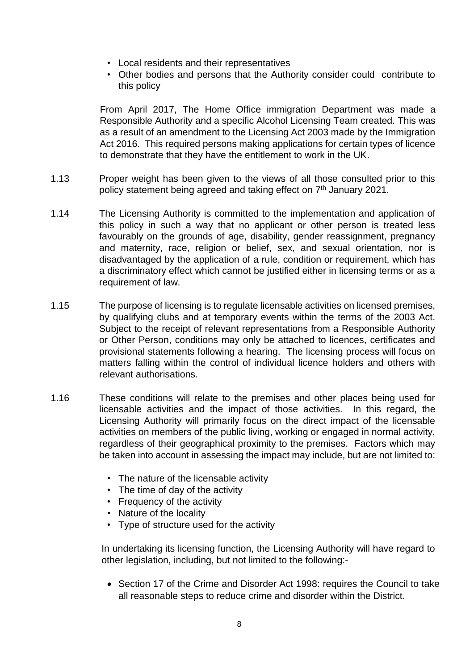- Local residents and their representatives
- Other bodies and persons that the Authority consider could contribute to this policy

From April 2017, The Home Office immigration Department was made a Responsible Authority and a specific Alcohol Licensing Team created. This was as a result of an amendment to the Licensing Act 2003 made by the Immigration Act 2016. This required persons making applications for certain types of licence to demonstrate that they have the entitlement to work in the UK.

- 1.13 Proper weight has been given to the views of all those consulted prior to this policy statement being agreed and taking effect on 7<sup>th</sup> January 2021.
- 1.14 The Licensing Authority is committed to the implementation and application of this policy in such a way that no applicant or other person is treated less favourably on the grounds of age, disability, gender reassignment, pregnancy and maternity, race, religion or belief, sex, and sexual orientation, nor is disadvantaged by the application of a rule, condition or requirement, which has a discriminatory effect which cannot be justified either in licensing terms or as a requirement of law.
- 1.15 The purpose of licensing is to regulate licensable activities on licensed premises, by qualifying clubs and at temporary events within the terms of the 2003 Act. Subject to the receipt of relevant representations from a Responsible Authority or Other Person, conditions may only be attached to licences, certificates and provisional statements following a hearing. The licensing process will focus on matters falling within the control of individual licence holders and others with relevant authorisations.
- 1.16 These conditions will relate to the premises and other places being used for licensable activities and the impact of those activities. In this regard, the Licensing Authority will primarily focus on the direct impact of the licensable activities on members of the public living, working or engaged in normal activity, regardless of their geographical proximity to the premises. Factors which may be taken into account in assessing the impact may include, but are not limited to:
	- The nature of the licensable activity
	- The time of day of the activity
	- Frequency of the activity
	- Nature of the locality
	- Type of structure used for the activity

In undertaking its licensing function, the Licensing Authority will have regard to other legislation, including, but not limited to the following:-

 Section 17 of the Crime and Disorder Act 1998: requires the Council to take all reasonable steps to reduce crime and disorder within the District.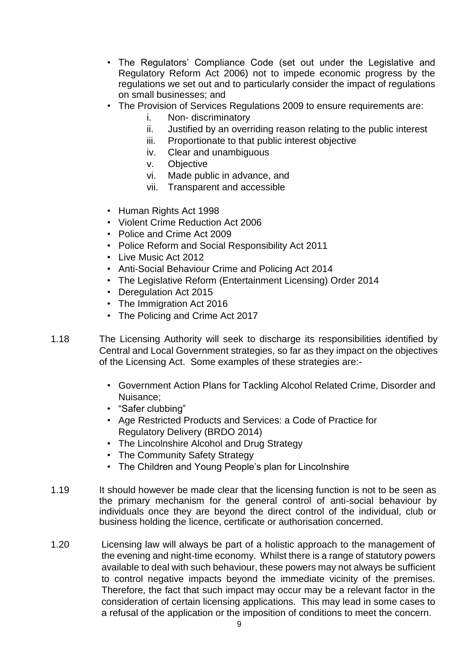- The Regulators' Compliance Code (set out under the Legislative and Regulatory Reform Act 2006) not to impede economic progress by the regulations we set out and to particularly consider the impact of regulations on small businesses; and
- The Provision of Services Regulations 2009 to ensure requirements are:
	- i. Non- discriminatory
	- ii. Justified by an overriding reason relating to the public interest
	- iii. Proportionate to that public interest objective
	- iv. Clear and unambiguous
	- v. Objective
	- vi. Made public in advance, and
	- vii. Transparent and accessible
- Human Rights Act 1998
- Violent Crime Reduction Act 2006
- Police and Crime Act 2009
- Police Reform and Social Responsibility Act 2011
- Live Music Act 2012
- Anti-Social Behaviour Crime and Policing Act 2014
- The Legislative Reform (Entertainment Licensing) Order 2014
- Deregulation Act 2015
- The Immigration Act 2016
- The Policing and Crime Act 2017
- 1.18 The Licensing Authority will seek to discharge its responsibilities identified by Central and Local Government strategies, so far as they impact on the objectives of the Licensing Act. Some examples of these strategies are:-
	- Government Action Plans for Tackling Alcohol Related Crime, Disorder and Nuisance;
	- "Safer clubbing"
	- Age Restricted Products and Services: a Code of Practice for Regulatory Delivery (BRDO 2014)
	- The Lincolnshire Alcohol and Drug Strategy
	- The Community Safety Strategy
	- The Children and Young People's plan for Lincolnshire
- 1.19 It should however be made clear that the licensing function is not to be seen as the primary mechanism for the general control of anti-social behaviour by individuals once they are beyond the direct control of the individual, club or business holding the licence, certificate or authorisation concerned.
- 1.20 Licensing law will always be part of a holistic approach to the management of the evening and night-time economy. Whilst there is a range of statutory powers available to deal with such behaviour, these powers may not always be sufficient to control negative impacts beyond the immediate vicinity of the premises. Therefore, the fact that such impact may occur may be a relevant factor in the consideration of certain licensing applications. This may lead in some cases to a refusal of the application or the imposition of conditions to meet the concern.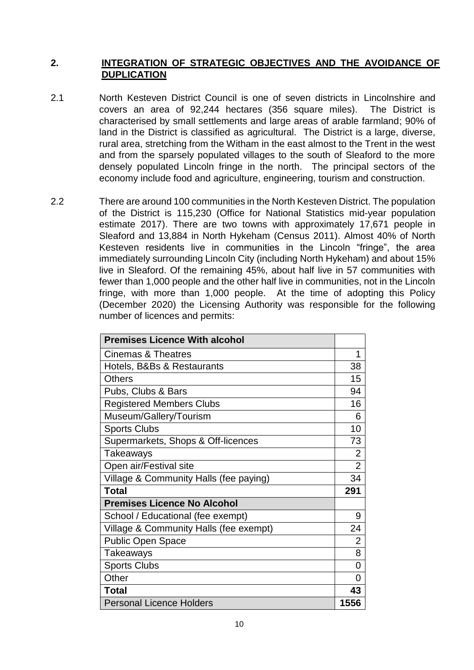## **2. INTEGRATION OF STRATEGIC OBJECTIVES AND THE AVOIDANCE OF DUPLICATION**

- 2.1 North Kesteven District Council is one of seven districts in Lincolnshire and covers an area of 92,244 hectares (356 square miles). The District is characterised by small settlements and large areas of arable farmland; 90% of land in the District is classified as agricultural. The District is a large, diverse, rural area, stretching from the Witham in the east almost to the Trent in the west and from the sparsely populated villages to the south of Sleaford to the more densely populated Lincoln fringe in the north. The principal sectors of the economy include food and agriculture, engineering, tourism and construction.
- 2.2 There are around 100 communities in the North Kesteven District. The population of the District is 115,230 (Office for National Statistics mid-year population estimate 2017). There are two towns with approximately 17,671 people in Sleaford and 13,884 in North Hykeham (Census 2011). Almost 40% of North Kesteven residents live in communities in the Lincoln "fringe", the area immediately surrounding Lincoln City (including North Hykeham) and about 15% live in Sleaford. Of the remaining 45%, about half live in 57 communities with fewer than 1,000 people and the other half live in communities, not in the Lincoln fringe, with more than 1,000 people. At the time of adopting this Policy (December 2020) the Licensing Authority was responsible for the following number of licences and permits:

| <b>Premises Licence With alcohol</b>   |                                  |  |
|----------------------------------------|----------------------------------|--|
| <b>Cinemas &amp; Theatres</b>          | 1                                |  |
| Hotels, B&Bs & Restaurants             | 38                               |  |
| <b>Others</b>                          | 15                               |  |
| Pubs, Clubs & Bars                     | 94                               |  |
| <b>Registered Members Clubs</b>        |                                  |  |
| Museum/Gallery/Tourism                 | 6                                |  |
| <b>Sports Clubs</b>                    | 10                               |  |
| Supermarkets, Shops & Off-licences     | 73                               |  |
| Takeaways                              | $\overline{2}$<br>$\overline{2}$ |  |
| Open air/Festival site                 |                                  |  |
| Village & Community Halls (fee paying) | 34                               |  |
| <b>Total</b>                           |                                  |  |
| <b>Premises Licence No Alcohol</b>     |                                  |  |
| School / Educational (fee exempt)      | 9                                |  |
| Village & Community Halls (fee exempt) | 24                               |  |
| <b>Public Open Space</b>               | $\overline{2}$                   |  |
| Takeaways                              | 8                                |  |
| <b>Sports Clubs</b>                    | 0                                |  |
| Other                                  |                                  |  |
| <b>Total</b>                           |                                  |  |
| <b>Personal Licence Holders</b>        |                                  |  |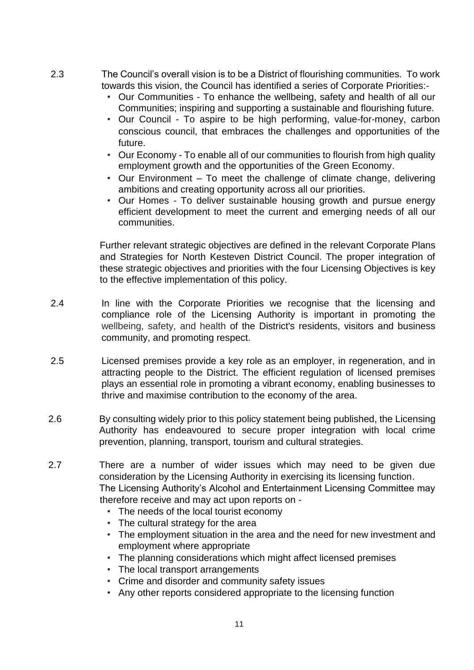- 2.3 The Council's overall vision is to be a District of flourishing communities. To work towards this vision, the Council has identified a series of Corporate Priorities:-
	- Our Communities To enhance the wellbeing, safety and health of all our Communities; inspiring and supporting a sustainable and flourishing future.
	- Our Council To aspire to be high performing, value-for-money, carbon conscious council, that embraces the challenges and opportunities of the future.
	- Our Economy To enable all of our communities to flourish from high quality employment growth and the opportunities of the Green Economy.
	- Our Environment To meet the challenge of climate change, delivering ambitions and creating opportunity across all our priorities.
	- Our Homes To deliver sustainable housing growth and pursue energy efficient development to meet the current and emerging needs of all our communities.

Further relevant strategic objectives are defined in the relevant Corporate Plans and Strategies for North Kesteven District Council. The proper integration of these strategic objectives and priorities with the four Licensing Objectives is key to the effective implementation of this policy.

- 2.4 In line with the Corporate Priorities we recognise that the licensing and compliance role of the Licensing Authority is important in promoting the wellbeing, safety, and health of the District's residents, visitors and business community, and promoting respect.
- 2.5 Licensed premises provide a key role as an employer, in regeneration, and in attracting people to the District. The efficient regulation of licensed premises plays an essential role in promoting a vibrant economy, enabling businesses to thrive and maximise contribution to the economy of the area.
- 2.6 By consulting widely prior to this policy statement being published, the Licensing Authority has endeavoured to secure proper integration with local crime prevention, planning, transport, tourism and cultural strategies.
- 2.7 There are a number of wider issues which may need to be given due consideration by the Licensing Authority in exercising its licensing function. The Licensing Authority's Alcohol and Entertainment Licensing Committee may therefore receive and may act upon reports on -
	- The needs of the local tourist economy
	- The cultural strategy for the area
	- The employment situation in the area and the need for new investment and employment where appropriate
	- The planning considerations which might affect licensed premises
	- The local transport arrangements
	- Crime and disorder and community safety issues
	- Any other reports considered appropriate to the licensing function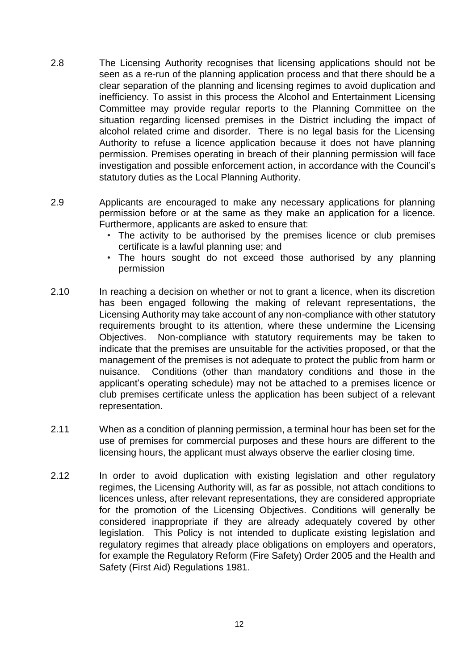- 2.8 The Licensing Authority recognises that licensing applications should not be seen as a re-run of the planning application process and that there should be a clear separation of the planning and licensing regimes to avoid duplication and inefficiency. To assist in this process the Alcohol and Entertainment Licensing Committee may provide regular reports to the Planning Committee on the situation regarding licensed premises in the District including the impact of alcohol related crime and disorder. There is no legal basis for the Licensing Authority to refuse a licence application because it does not have planning permission. Premises operating in breach of their planning permission will face investigation and possible enforcement action, in accordance with the Council's statutory duties as the Local Planning Authority.
- 2.9 Applicants are encouraged to make any necessary applications for planning permission before or at the same as they make an application for a licence. Furthermore, applicants are asked to ensure that:
	- The activity to be authorised by the premises licence or club premises certificate is a lawful planning use; and
	- The hours sought do not exceed those authorised by any planning permission
- 2.10 In reaching a decision on whether or not to grant a licence, when its discretion has been engaged following the making of relevant representations, the Licensing Authority may take account of any non-compliance with other statutory requirements brought to its attention, where these undermine the Licensing Objectives. Non-compliance with statutory requirements may be taken to indicate that the premises are unsuitable for the activities proposed, or that the management of the premises is not adequate to protect the public from harm or nuisance. Conditions (other than mandatory conditions and those in the applicant's operating schedule) may not be attached to a premises licence or club premises certificate unless the application has been subject of a relevant representation.
- 2.11 When as a condition of planning permission, a terminal hour has been set for the use of premises for commercial purposes and these hours are different to the licensing hours, the applicant must always observe the earlier closing time.
- 2.12 In order to avoid duplication with existing legislation and other regulatory regimes, the Licensing Authority will, as far as possible, not attach conditions to licences unless, after relevant representations, they are considered appropriate for the promotion of the Licensing Objectives. Conditions will generally be considered inappropriate if they are already adequately covered by other legislation. This Policy is not intended to duplicate existing legislation and regulatory regimes that already place obligations on employers and operators, for example the Regulatory Reform (Fire Safety) Order 2005 and the Health and Safety (First Aid) Regulations 1981.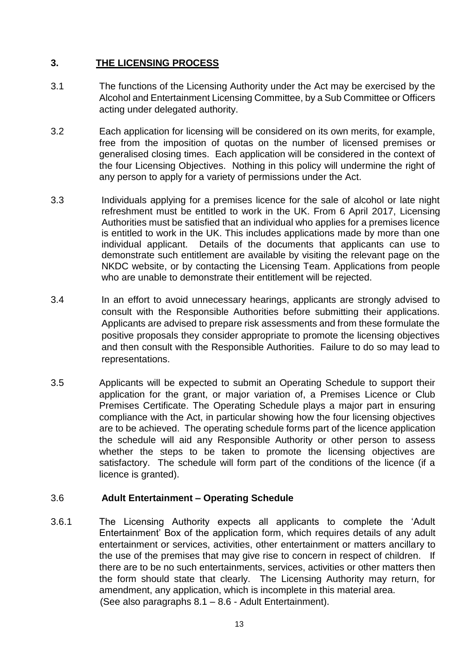## **3. THE LICENSING PROCESS**

- 3.1 The functions of the Licensing Authority under the Act may be exercised by the Alcohol and Entertainment Licensing Committee, by a Sub Committee or Officers acting under delegated authority.
- 3.2 Each application for licensing will be considered on its own merits, for example, free from the imposition of quotas on the number of licensed premises or generalised closing times. Each application will be considered in the context of the four Licensing Objectives. Nothing in this policy will undermine the right of any person to apply for a variety of permissions under the Act.
- 3.3 Individuals applying for a premises licence for the sale of alcohol or late night refreshment must be entitled to work in the UK. From 6 April 2017, Licensing Authorities must be satisfied that an individual who applies for a premises licence is entitled to work in the UK. This includes applications made by more than one individual applicant. Details of the documents that applicants can use to demonstrate such entitlement are available by visiting the relevant page on the NKDC website, or by contacting the Licensing Team. Applications from people who are unable to demonstrate their entitlement will be rejected.
- 3.4 In an effort to avoid unnecessary hearings, applicants are strongly advised to consult with the Responsible Authorities before submitting their applications. Applicants are advised to prepare risk assessments and from these formulate the positive proposals they consider appropriate to promote the licensing objectives and then consult with the Responsible Authorities. Failure to do so may lead to representations.
- 3.5 Applicants will be expected to submit an Operating Schedule to support their application for the grant, or major variation of, a Premises Licence or Club Premises Certificate. The Operating Schedule plays a major part in ensuring compliance with the Act, in particular showing how the four licensing objectives are to be achieved. The operating schedule forms part of the licence application the schedule will aid any Responsible Authority or other person to assess whether the steps to be taken to promote the licensing objectives are satisfactory. The schedule will form part of the conditions of the licence (if a licence is granted).

## 3.6 **Adult Entertainment – Operating Schedule**

3.6.1 The Licensing Authority expects all applicants to complete the 'Adult Entertainment' Box of the application form, which requires details of any adult entertainment or services, activities, other entertainment or matters ancillary to the use of the premises that may give rise to concern in respect of children. If there are to be no such entertainments, services, activities or other matters then the form should state that clearly. The Licensing Authority may return, for amendment, any application, which is incomplete in this material area. (See also paragraphs 8.1 – 8.6 - Adult Entertainment).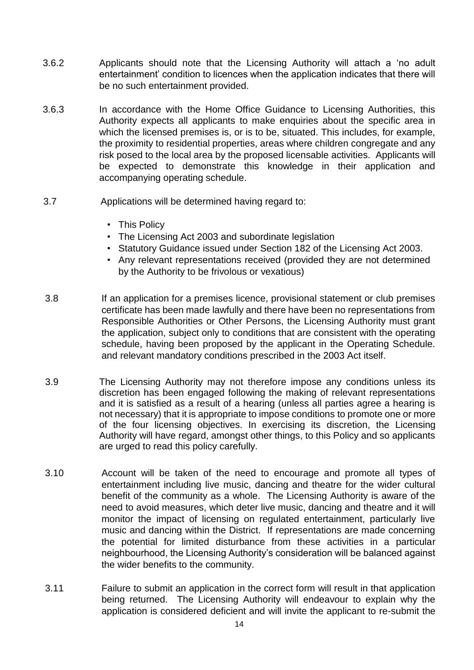- 3.6.2 Applicants should note that the Licensing Authority will attach a 'no adult entertainment' condition to licences when the application indicates that there will be no such entertainment provided.
- 3.6.3 In accordance with the Home Office Guidance to Licensing Authorities, this Authority expects all applicants to make enquiries about the specific area in which the licensed premises is, or is to be, situated. This includes, for example, the proximity to residential properties, areas where children congregate and any risk posed to the local area by the proposed licensable activities. Applicants will be expected to demonstrate this knowledge in their application and accompanying operating schedule.
- 3.7 Applications will be determined having regard to:
	- This Policy
	- The Licensing Act 2003 and subordinate legislation
	- Statutory Guidance issued under Section 182 of the Licensing Act 2003.
	- Any relevant representations received (provided they are not determined by the Authority to be frivolous or vexatious)
- 3.8 If an application for a premises licence, provisional statement or club premises certificate has been made lawfully and there have been no representations from Responsible Authorities or Other Persons, the Licensing Authority must grant the application, subject only to conditions that are consistent with the operating schedule, having been proposed by the applicant in the Operating Schedule. and relevant mandatory conditions prescribed in the 2003 Act itself.
- 3.9 The Licensing Authority may not therefore impose any conditions unless its discretion has been engaged following the making of relevant representations and it is satisfied as a result of a hearing (unless all parties agree a hearing is not necessary) that it is appropriate to impose conditions to promote one or more of the four licensing objectives. In exercising its discretion, the Licensing Authority will have regard, amongst other things, to this Policy and so applicants are urged to read this policy carefully.
- 3.10 Account will be taken of the need to encourage and promote all types of entertainment including live music, dancing and theatre for the wider cultural benefit of the community as a whole. The Licensing Authority is aware of the need to avoid measures, which deter live music, dancing and theatre and it will monitor the impact of licensing on regulated entertainment, particularly live music and dancing within the District. If representations are made concerning the potential for limited disturbance from these activities in a particular neighbourhood, the Licensing Authority's consideration will be balanced against the wider benefits to the community.
- 3.11 Failure to submit an application in the correct form will result in that application being returned. The Licensing Authority will endeavour to explain why the application is considered deficient and will invite the applicant to re-submit the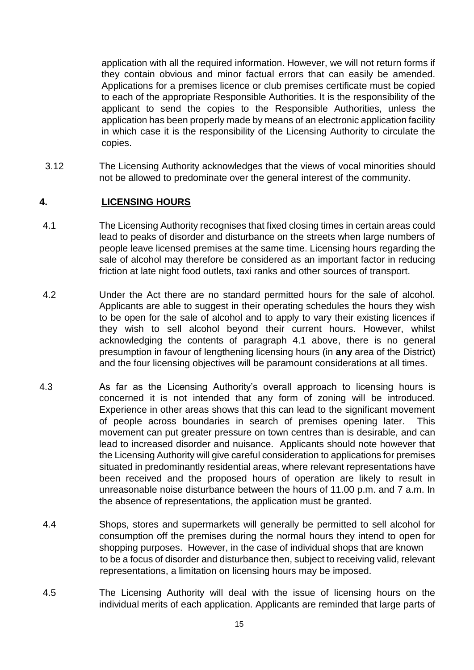application with all the required information. However, we will not return forms if they contain obvious and minor factual errors that can easily be amended. Applications for a premises licence or club premises certificate must be copied to each of the appropriate Responsible Authorities. It is the responsibility of the applicant to send the copies to the Responsible Authorities, unless the application has been properly made by means of an electronic application facility in which case it is the responsibility of the Licensing Authority to circulate the copies.

3.12 The Licensing Authority acknowledges that the views of vocal minorities should not be allowed to predominate over the general interest of the community.

## **4. LICENSING HOURS**

- 4.1 The Licensing Authority recognises that fixed closing times in certain areas could lead to peaks of disorder and disturbance on the streets when large numbers of people leave licensed premises at the same time. Licensing hours regarding the sale of alcohol may therefore be considered as an important factor in reducing friction at late night food outlets, taxi ranks and other sources of transport.
- 4.2 Under the Act there are no standard permitted hours for the sale of alcohol. Applicants are able to suggest in their operating schedules the hours they wish to be open for the sale of alcohol and to apply to vary their existing licences if they wish to sell alcohol beyond their current hours. However, whilst acknowledging the contents of paragraph 4.1 above, there is no general presumption in favour of lengthening licensing hours (in **any** area of the District) and the four licensing objectives will be paramount considerations at all times.
- 4.3 As far as the Licensing Authority's overall approach to licensing hours is concerned it is not intended that any form of zoning will be introduced. Experience in other areas shows that this can lead to the significant movement of people across boundaries in search of premises opening later. This movement can put greater pressure on town centres than is desirable, and can lead to increased disorder and nuisance. Applicants should note however that the Licensing Authority will give careful consideration to applications for premises situated in predominantly residential areas, where relevant representations have been received and the proposed hours of operation are likely to result in unreasonable noise disturbance between the hours of 11.00 p.m. and 7 a.m. In the absence of representations, the application must be granted.
- 4.4 Shops, stores and supermarkets will generally be permitted to sell alcohol for consumption off the premises during the normal hours they intend to open for shopping purposes. However, in the case of individual shops that are known to be a focus of disorder and disturbance then, subject to receiving valid, relevant representations, a limitation on licensing hours may be imposed.
- 4.5 The Licensing Authority will deal with the issue of licensing hours on the individual merits of each application. Applicants are reminded that large parts of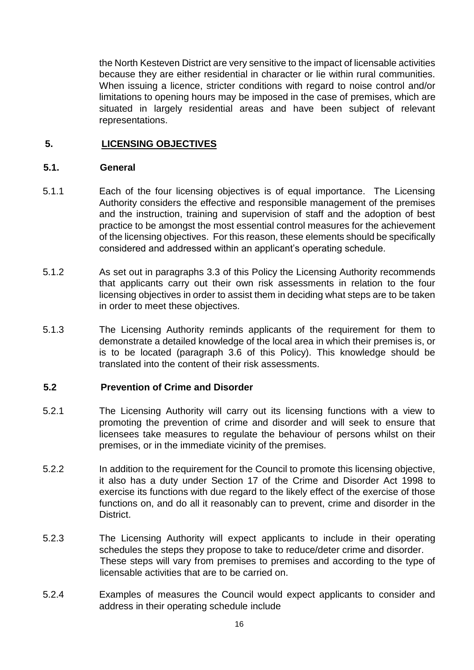the North Kesteven District are very sensitive to the impact of licensable activities because they are either residential in character or lie within rural communities. When issuing a licence, stricter conditions with regard to noise control and/or limitations to opening hours may be imposed in the case of premises, which are situated in largely residential areas and have been subject of relevant representations.

#### **5. LICENSING OBJECTIVES**

#### **5.1. General**

- 5.1.1 Each of the four licensing objectives is of equal importance. The Licensing Authority considers the effective and responsible management of the premises and the instruction, training and supervision of staff and the adoption of best practice to be amongst the most essential control measures for the achievement of the licensing objectives. For this reason, these elements should be specifically considered and addressed within an applicant's operating schedule.
- 5.1.2 As set out in paragraphs 3.3 of this Policy the Licensing Authority recommends that applicants carry out their own risk assessments in relation to the four licensing objectives in order to assist them in deciding what steps are to be taken in order to meet these objectives.
- 5.1.3 The Licensing Authority reminds applicants of the requirement for them to demonstrate a detailed knowledge of the local area in which their premises is, or is to be located (paragraph 3.6 of this Policy). This knowledge should be translated into the content of their risk assessments.

#### **5.2 Prevention of Crime and Disorder**

- 5.2.1 The Licensing Authority will carry out its licensing functions with a view to promoting the prevention of crime and disorder and will seek to ensure that licensees take measures to regulate the behaviour of persons whilst on their premises, or in the immediate vicinity of the premises.
- 5.2.2 In addition to the requirement for the Council to promote this licensing objective, it also has a duty under Section 17 of the Crime and Disorder Act 1998 to exercise its functions with due regard to the likely effect of the exercise of those functions on, and do all it reasonably can to prevent, crime and disorder in the District.
- 5.2.3 The Licensing Authority will expect applicants to include in their operating schedules the steps they propose to take to reduce/deter crime and disorder. These steps will vary from premises to premises and according to the type of licensable activities that are to be carried on.
- 5.2.4 Examples of measures the Council would expect applicants to consider and address in their operating schedule include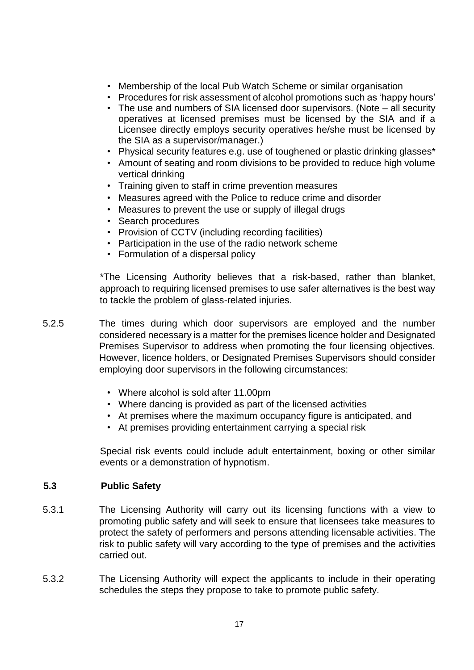- Membership of the local Pub Watch Scheme or similar organisation
- Procedures for risk assessment of alcohol promotions such as 'happy hours'
- The use and numbers of SIA licensed door supervisors. (Note all security operatives at licensed premises must be licensed by the SIA and if a Licensee directly employs security operatives he/she must be licensed by the SIA as a supervisor/manager.)
- Physical security features e.g. use of toughened or plastic drinking glasses\*
- Amount of seating and room divisions to be provided to reduce high volume vertical drinking
- Training given to staff in crime prevention measures
- Measures agreed with the Police to reduce crime and disorder
- Measures to prevent the use or supply of illegal drugs
- Search procedures
- Provision of CCTV (including recording facilities)
- Participation in the use of the radio network scheme
- Formulation of a dispersal policy

\*The Licensing Authority believes that a risk-based, rather than blanket, approach to requiring licensed premises to use safer alternatives is the best way to tackle the problem of glass-related injuries.

- 5.2.5 The times during which door supervisors are employed and the number considered necessary is a matter for the premises licence holder and Designated Premises Supervisor to address when promoting the four licensing objectives. However, licence holders, or Designated Premises Supervisors should consider employing door supervisors in the following circumstances:
	- Where alcohol is sold after 11.00pm
	- Where dancing is provided as part of the licensed activities
	- At premises where the maximum occupancy figure is anticipated, and
	- At premises providing entertainment carrying a special risk

Special risk events could include adult entertainment, boxing or other similar events or a demonstration of hypnotism.

#### **5.3 Public Safety**

- 5.3.1 The Licensing Authority will carry out its licensing functions with a view to promoting public safety and will seek to ensure that licensees take measures to protect the safety of performers and persons attending licensable activities. The risk to public safety will vary according to the type of premises and the activities carried out.
- 5.3.2 The Licensing Authority will expect the applicants to include in their operating schedules the steps they propose to take to promote public safety.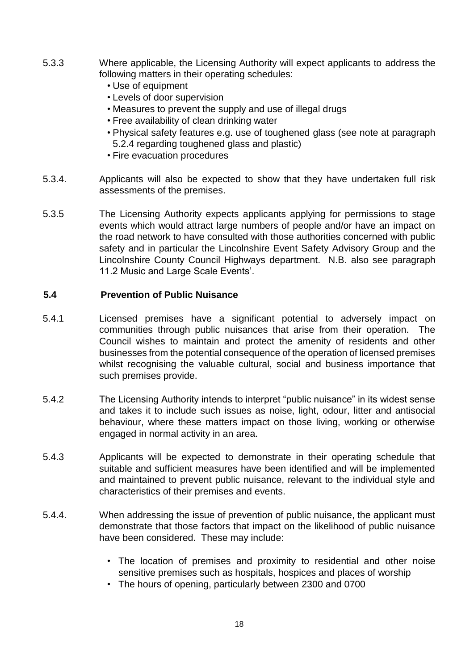- 5.3.3 Where applicable, the Licensing Authority will expect applicants to address the following matters in their operating schedules:
	- Use of equipment
	- Levels of door supervision
	- Measures to prevent the supply and use of illegal drugs
	- Free availability of clean drinking water
	- Physical safety features e.g. use of toughened glass (see note at paragraph 5.2.4 regarding toughened glass and plastic)
	- Fire evacuation procedures
- 5.3.4. Applicants will also be expected to show that they have undertaken full risk assessments of the premises.
- 5.3.5 The Licensing Authority expects applicants applying for permissions to stage events which would attract large numbers of people and/or have an impact on the road network to have consulted with those authorities concerned with public safety and in particular the Lincolnshire Event Safety Advisory Group and the Lincolnshire County Council Highways department. N.B. also see paragraph 11.2 Music and Large Scale Events'.

## **5.4 Prevention of Public Nuisance**

- 5.4.1 Licensed premises have a significant potential to adversely impact on communities through public nuisances that arise from their operation. The Council wishes to maintain and protect the amenity of residents and other businesses from the potential consequence of the operation of licensed premises whilst recognising the valuable cultural, social and business importance that such premises provide.
- 5.4.2 The Licensing Authority intends to interpret "public nuisance" in its widest sense and takes it to include such issues as noise, light, odour, litter and antisocial behaviour, where these matters impact on those living, working or otherwise engaged in normal activity in an area.
- 5.4.3 Applicants will be expected to demonstrate in their operating schedule that suitable and sufficient measures have been identified and will be implemented and maintained to prevent public nuisance, relevant to the individual style and characteristics of their premises and events.
- 5.4.4. When addressing the issue of prevention of public nuisance, the applicant must demonstrate that those factors that impact on the likelihood of public nuisance have been considered. These may include:
	- The location of premises and proximity to residential and other noise sensitive premises such as hospitals, hospices and places of worship
	- The hours of opening, particularly between 2300 and 0700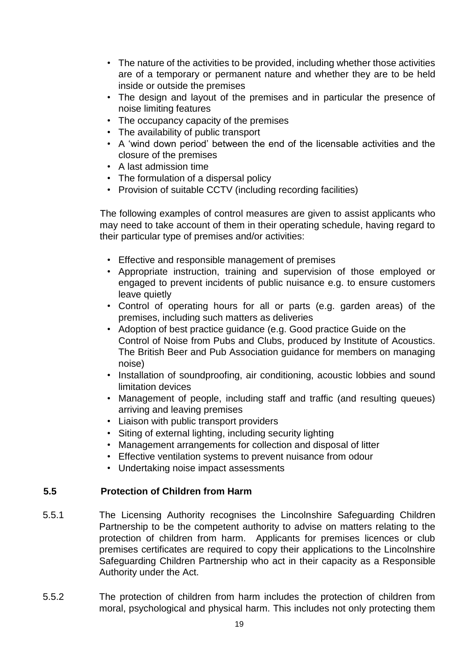- The nature of the activities to be provided, including whether those activities are of a temporary or permanent nature and whether they are to be held inside or outside the premises
- The design and layout of the premises and in particular the presence of noise limiting features
- The occupancy capacity of the premises
- The availability of public transport
- A 'wind down period' between the end of the licensable activities and the closure of the premises
- A last admission time
- The formulation of a dispersal policy
- Provision of suitable CCTV (including recording facilities)

The following examples of control measures are given to assist applicants who may need to take account of them in their operating schedule, having regard to their particular type of premises and/or activities:

- Effective and responsible management of premises
- Appropriate instruction, training and supervision of those employed or engaged to prevent incidents of public nuisance e.g. to ensure customers leave quietly
- Control of operating hours for all or parts (e.g. garden areas) of the premises, including such matters as deliveries
- Adoption of best practice guidance (e.g. Good practice Guide on the Control of Noise from Pubs and Clubs, produced by Institute of Acoustics. The British Beer and Pub Association guidance for members on managing noise)
- Installation of soundproofing, air conditioning, acoustic lobbies and sound limitation devices
- Management of people, including staff and traffic (and resulting queues) arriving and leaving premises
- Liaison with public transport providers
- Siting of external lighting, including security lighting
- Management arrangements for collection and disposal of litter
- Effective ventilation systems to prevent nuisance from odour
- Undertaking noise impact assessments

#### **5.5 Protection of Children from Harm**

- 5.5.1 The Licensing Authority recognises the Lincolnshire Safeguarding Children Partnership to be the competent authority to advise on matters relating to the protection of children from harm. Applicants for premises licences or club premises certificates are required to copy their applications to the Lincolnshire Safeguarding Children Partnership who act in their capacity as a Responsible Authority under the Act.
- 5.5.2 The protection of children from harm includes the protection of children from moral, psychological and physical harm. This includes not only protecting them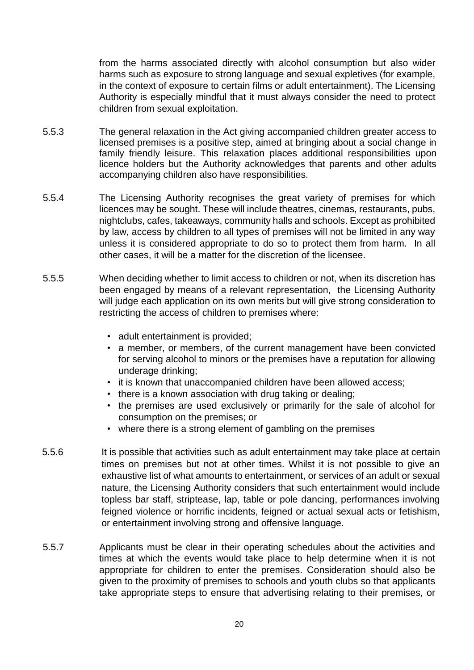from the harms associated directly with alcohol consumption but also wider harms such as exposure to strong language and sexual expletives (for example, in the context of exposure to certain films or adult entertainment). The Licensing Authority is especially mindful that it must always consider the need to protect children from sexual exploitation.

- 5.5.3 The general relaxation in the Act giving accompanied children greater access to licensed premises is a positive step, aimed at bringing about a social change in family friendly leisure. This relaxation places additional responsibilities upon licence holders but the Authority acknowledges that parents and other adults accompanying children also have responsibilities.
- 5.5.4 The Licensing Authority recognises the great variety of premises for which licences may be sought. These will include theatres, cinemas, restaurants, pubs, nightclubs, cafes, takeaways, community halls and schools. Except as prohibited by law, access by children to all types of premises will not be limited in any way unless it is considered appropriate to do so to protect them from harm. In all other cases, it will be a matter for the discretion of the licensee.
- 5.5.5 When deciding whether to limit access to children or not, when its discretion has been engaged by means of a relevant representation, the Licensing Authority will judge each application on its own merits but will give strong consideration to restricting the access of children to premises where:
	- adult entertainment is provided;
	- a member, or members, of the current management have been convicted for serving alcohol to minors or the premises have a reputation for allowing underage drinking;
	- it is known that unaccompanied children have been allowed access;
	- there is a known association with drug taking or dealing;
	- the premises are used exclusively or primarily for the sale of alcohol for consumption on the premises; or
	- where there is a strong element of gambling on the premises
- 5.5.6 It is possible that activities such as adult entertainment may take place at certain times on premises but not at other times. Whilst it is not possible to give an exhaustive list of what amounts to entertainment, or services of an adult or sexual nature, the Licensing Authority considers that such entertainment would include topless bar staff, striptease, lap, table or pole dancing, performances involving feigned violence or horrific incidents, feigned or actual sexual acts or fetishism, or entertainment involving strong and offensive language.
- 5.5.7 Applicants must be clear in their operating schedules about the activities and times at which the events would take place to help determine when it is not appropriate for children to enter the premises. Consideration should also be given to the proximity of premises to schools and youth clubs so that applicants take appropriate steps to ensure that advertising relating to their premises, or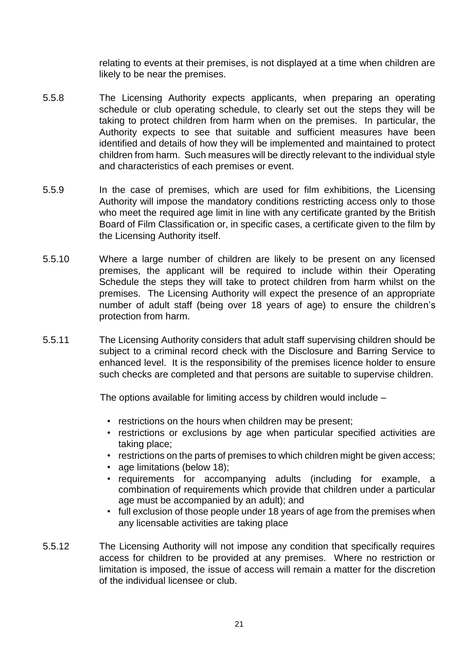relating to events at their premises, is not displayed at a time when children are likely to be near the premises.

- 5.5.8 The Licensing Authority expects applicants, when preparing an operating schedule or club operating schedule, to clearly set out the steps they will be taking to protect children from harm when on the premises. In particular, the Authority expects to see that suitable and sufficient measures have been identified and details of how they will be implemented and maintained to protect children from harm. Such measures will be directly relevant to the individual style and characteristics of each premises or event.
- 5.5.9 In the case of premises, which are used for film exhibitions, the Licensing Authority will impose the mandatory conditions restricting access only to those who meet the required age limit in line with any certificate granted by the British Board of Film Classification or, in specific cases, a certificate given to the film by the Licensing Authority itself.
- 5.5.10 Where a large number of children are likely to be present on any licensed premises, the applicant will be required to include within their Operating Schedule the steps they will take to protect children from harm whilst on the premises. The Licensing Authority will expect the presence of an appropriate number of adult staff (being over 18 years of age) to ensure the children's protection from harm.
- 5.5.11 The Licensing Authority considers that adult staff supervising children should be subject to a criminal record check with the Disclosure and Barring Service to enhanced level. It is the responsibility of the premises licence holder to ensure such checks are completed and that persons are suitable to supervise children.

The options available for limiting access by children would include –

- restrictions on the hours when children may be present;
- restrictions or exclusions by age when particular specified activities are taking place;
- restrictions on the parts of premises to which children might be given access;
- age limitations (below 18);
- requirements for accompanying adults (including for example, a combination of requirements which provide that children under a particular age must be accompanied by an adult); and
- full exclusion of those people under 18 years of age from the premises when any licensable activities are taking place
- 5.5.12 The Licensing Authority will not impose any condition that specifically requires access for children to be provided at any premises. Where no restriction or limitation is imposed, the issue of access will remain a matter for the discretion of the individual licensee or club.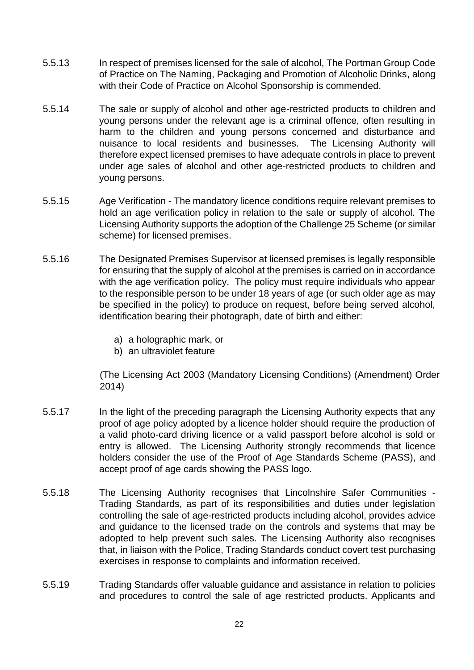- 5.5.13 In respect of premises licensed for the sale of alcohol, The Portman Group Code of Practice on The Naming, Packaging and Promotion of Alcoholic Drinks, along with their Code of Practice on Alcohol Sponsorship is commended.
- 5.5.14 The sale or supply of alcohol and other age-restricted products to children and young persons under the relevant age is a criminal offence, often resulting in harm to the children and young persons concerned and disturbance and nuisance to local residents and businesses. The Licensing Authority will therefore expect licensed premises to have adequate controls in place to prevent under age sales of alcohol and other age-restricted products to children and young persons.
- 5.5.15 Age Verification The mandatory licence conditions require relevant premises to hold an age verification policy in relation to the sale or supply of alcohol. The Licensing Authority supports the adoption of the Challenge 25 Scheme (or similar scheme) for licensed premises.
- 5.5.16 The Designated Premises Supervisor at licensed premises is legally responsible for ensuring that the supply of alcohol at the premises is carried on in accordance with the age verification policy. The policy must require individuals who appear to the responsible person to be under 18 years of age (or such older age as may be specified in the policy) to produce on request, before being served alcohol, identification bearing their photograph, date of birth and either:
	- a) a holographic mark, or
	- b) an ultraviolet feature

(The Licensing Act 2003 (Mandatory Licensing Conditions) (Amendment) Order 2014)

- 5.5.17 In the light of the preceding paragraph the Licensing Authority expects that any proof of age policy adopted by a licence holder should require the production of a valid photo-card driving licence or a valid passport before alcohol is sold or entry is allowed. The Licensing Authority strongly recommends that licence holders consider the use of the Proof of Age Standards Scheme (PASS), and accept proof of age cards showing the PASS logo.
- 5.5.18 The Licensing Authority recognises that Lincolnshire Safer Communities Trading Standards, as part of its responsibilities and duties under legislation controlling the sale of age-restricted products including alcohol, provides advice and guidance to the licensed trade on the controls and systems that may be adopted to help prevent such sales. The Licensing Authority also recognises that, in liaison with the Police, Trading Standards conduct covert test purchasing exercises in response to complaints and information received.
- 5.5.19 Trading Standards offer valuable guidance and assistance in relation to policies and procedures to control the sale of age restricted products. Applicants and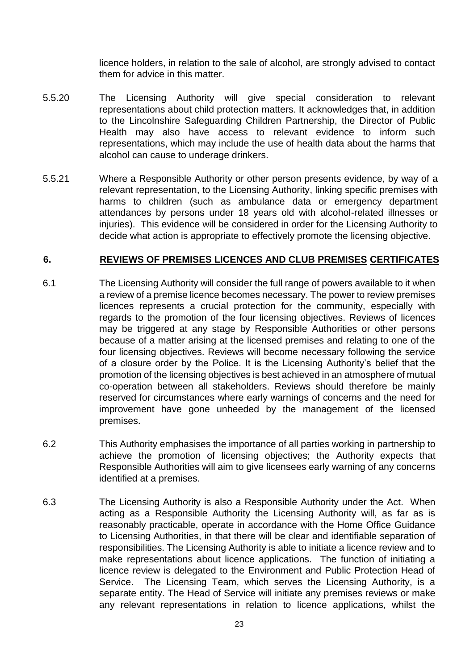licence holders, in relation to the sale of alcohol, are strongly advised to contact them for advice in this matter.

- 5.5.20 The Licensing Authority will give special consideration to relevant representations about child protection matters. It acknowledges that, in addition to the Lincolnshire Safeguarding Children Partnership, the Director of Public Health may also have access to relevant evidence to inform such representations, which may include the use of health data about the harms that alcohol can cause to underage drinkers.
- 5.5.21 Where a Responsible Authority or other person presents evidence, by way of a relevant representation, to the Licensing Authority, linking specific premises with harms to children (such as ambulance data or emergency department attendances by persons under 18 years old with alcohol-related illnesses or injuries). This evidence will be considered in order for the Licensing Authority to decide what action is appropriate to effectively promote the licensing objective.

#### **6. REVIEWS OF PREMISES LICENCES AND CLUB PREMISES CERTIFICATES**

- 6.1 The Licensing Authority will consider the full range of powers available to it when a review of a premise licence becomes necessary. The power to review premises licences represents a crucial protection for the community, especially with regards to the promotion of the four licensing objectives. Reviews of licences may be triggered at any stage by Responsible Authorities or other persons because of a matter arising at the licensed premises and relating to one of the four licensing objectives. Reviews will become necessary following the service of a closure order by the Police. It is the Licensing Authority's belief that the promotion of the licensing objectives is best achieved in an atmosphere of mutual co-operation between all stakeholders. Reviews should therefore be mainly reserved for circumstances where early warnings of concerns and the need for improvement have gone unheeded by the management of the licensed premises.
- 6.2 This Authority emphasises the importance of all parties working in partnership to achieve the promotion of licensing objectives; the Authority expects that Responsible Authorities will aim to give licensees early warning of any concerns identified at a premises.
- 6.3 The Licensing Authority is also a Responsible Authority under the Act. When acting as a Responsible Authority the Licensing Authority will, as far as is reasonably practicable, operate in accordance with the Home Office Guidance to Licensing Authorities, in that there will be clear and identifiable separation of responsibilities. The Licensing Authority is able to initiate a licence review and to make representations about licence applications. The function of initiating a licence review is delegated to the Environment and Public Protection Head of Service. The Licensing Team, which serves the Licensing Authority, is a separate entity. The Head of Service will initiate any premises reviews or make any relevant representations in relation to licence applications, whilst the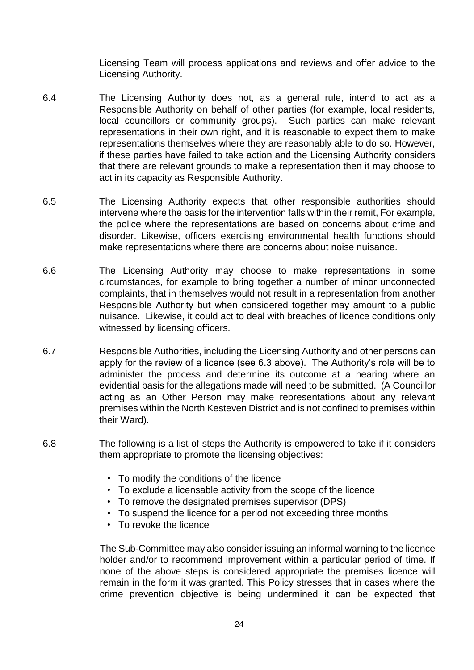Licensing Team will process applications and reviews and offer advice to the Licensing Authority.

- 6.4 The Licensing Authority does not, as a general rule, intend to act as a Responsible Authority on behalf of other parties (for example, local residents, local councillors or community groups). Such parties can make relevant representations in their own right, and it is reasonable to expect them to make representations themselves where they are reasonably able to do so. However, if these parties have failed to take action and the Licensing Authority considers that there are relevant grounds to make a representation then it may choose to act in its capacity as Responsible Authority.
- 6.5 The Licensing Authority expects that other responsible authorities should intervene where the basis for the intervention falls within their remit, For example, the police where the representations are based on concerns about crime and disorder. Likewise, officers exercising environmental health functions should make representations where there are concerns about noise nuisance.
- 6.6 The Licensing Authority may choose to make representations in some circumstances, for example to bring together a number of minor unconnected complaints, that in themselves would not result in a representation from another Responsible Authority but when considered together may amount to a public nuisance. Likewise, it could act to deal with breaches of licence conditions only witnessed by licensing officers.
- 6.7 Responsible Authorities, including the Licensing Authority and other persons can apply for the review of a licence (see 6.3 above). The Authority's role will be to administer the process and determine its outcome at a hearing where an evidential basis for the allegations made will need to be submitted. (A Councillor acting as an Other Person may make representations about any relevant premises within the North Kesteven District and is not confined to premises within their Ward).
- 6.8 The following is a list of steps the Authority is empowered to take if it considers them appropriate to promote the licensing objectives:
	- To modify the conditions of the licence
	- To exclude a licensable activity from the scope of the licence
	- To remove the designated premises supervisor (DPS)
	- To suspend the licence for a period not exceeding three months
	- To revoke the licence

The Sub-Committee may also consider issuing an informal warning to the licence holder and/or to recommend improvement within a particular period of time. If none of the above steps is considered appropriate the premises licence will remain in the form it was granted. This Policy stresses that in cases where the crime prevention objective is being undermined it can be expected that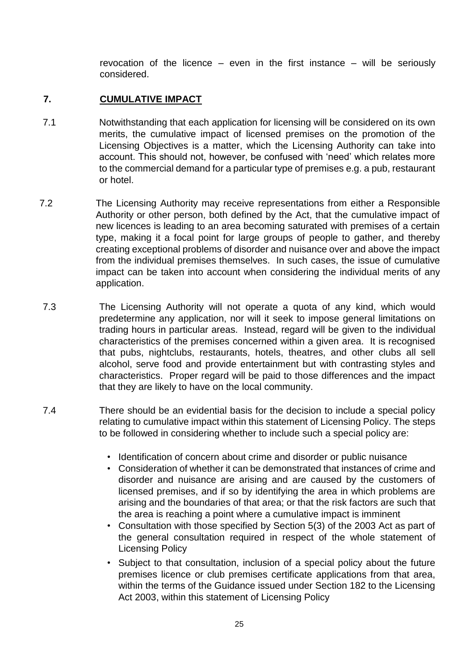revocation of the licence – even in the first instance – will be seriously considered.

## **7. CUMULATIVE IMPACT**

- 7.1 Notwithstanding that each application for licensing will be considered on its own merits, the cumulative impact of licensed premises on the promotion of the Licensing Objectives is a matter, which the Licensing Authority can take into account. This should not, however, be confused with 'need' which relates more to the commercial demand for a particular type of premises e.g. a pub, restaurant or hotel.
- 7.2 The Licensing Authority may receive representations from either a Responsible Authority or other person, both defined by the Act, that the cumulative impact of new licences is leading to an area becoming saturated with premises of a certain type, making it a focal point for large groups of people to gather, and thereby creating exceptional problems of disorder and nuisance over and above the impact from the individual premises themselves. In such cases, the issue of cumulative impact can be taken into account when considering the individual merits of any application.
- 7.3 The Licensing Authority will not operate a quota of any kind, which would predetermine any application, nor will it seek to impose general limitations on trading hours in particular areas. Instead, regard will be given to the individual characteristics of the premises concerned within a given area. It is recognised that pubs, nightclubs, restaurants, hotels, theatres, and other clubs all sell alcohol, serve food and provide entertainment but with contrasting styles and characteristics. Proper regard will be paid to those differences and the impact that they are likely to have on the local community.
- 7.4 There should be an evidential basis for the decision to include a special policy relating to cumulative impact within this statement of Licensing Policy. The steps to be followed in considering whether to include such a special policy are:
	- Identification of concern about crime and disorder or public nuisance
	- Consideration of whether it can be demonstrated that instances of crime and disorder and nuisance are arising and are caused by the customers of licensed premises, and if so by identifying the area in which problems are arising and the boundaries of that area; or that the risk factors are such that the area is reaching a point where a cumulative impact is imminent
	- Consultation with those specified by Section 5(3) of the 2003 Act as part of the general consultation required in respect of the whole statement of Licensing Policy
	- Subject to that consultation, inclusion of a special policy about the future premises licence or club premises certificate applications from that area, within the terms of the Guidance issued under Section 182 to the Licensing Act 2003, within this statement of Licensing Policy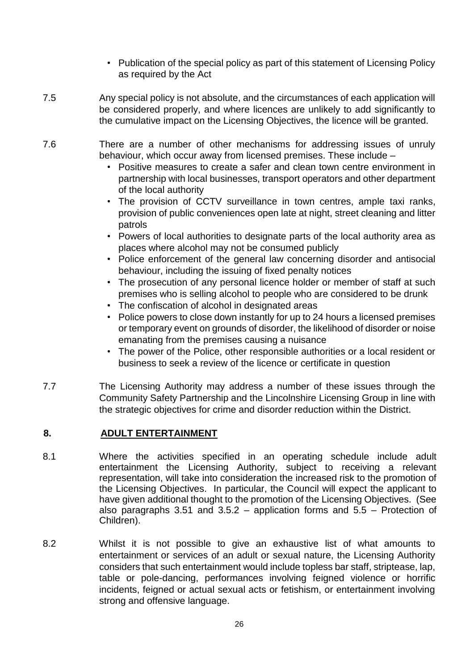- Publication of the special policy as part of this statement of Licensing Policy as required by the Act
- 7.5 Any special policy is not absolute, and the circumstances of each application will be considered properly, and where licences are unlikely to add significantly to the cumulative impact on the Licensing Objectives, the licence will be granted.
- 7.6 There are a number of other mechanisms for addressing issues of unruly behaviour, which occur away from licensed premises. These include –
	- Positive measures to create a safer and clean town centre environment in partnership with local businesses, transport operators and other department of the local authority
	- The provision of CCTV surveillance in town centres, ample taxi ranks, provision of public conveniences open late at night, street cleaning and litter patrols
	- Powers of local authorities to designate parts of the local authority area as places where alcohol may not be consumed publicly
	- Police enforcement of the general law concerning disorder and antisocial behaviour, including the issuing of fixed penalty notices
	- The prosecution of any personal licence holder or member of staff at such premises who is selling alcohol to people who are considered to be drunk
	- The confiscation of alcohol in designated areas
	- Police powers to close down instantly for up to 24 hours a licensed premises or temporary event on grounds of disorder, the likelihood of disorder or noise emanating from the premises causing a nuisance
	- The power of the Police, other responsible authorities or a local resident or business to seek a review of the licence or certificate in question
- 7.7 The Licensing Authority may address a number of these issues through the Community Safety Partnership and the Lincolnshire Licensing Group in line with the strategic objectives for crime and disorder reduction within the District.

## **8. ADULT ENTERTAINMENT**

- 8.1 Where the activities specified in an operating schedule include adult entertainment the Licensing Authority, subject to receiving a relevant representation, will take into consideration the increased risk to the promotion of the Licensing Objectives. In particular, the Council will expect the applicant to have given additional thought to the promotion of the Licensing Objectives. (See also paragraphs 3.51 and 3.5.2 – application forms and 5.5 – Protection of Children).
- 8.2 Whilst it is not possible to give an exhaustive list of what amounts to entertainment or services of an adult or sexual nature, the Licensing Authority considers that such entertainment would include topless bar staff, striptease, lap, table or pole-dancing, performances involving feigned violence or horrific incidents, feigned or actual sexual acts or fetishism, or entertainment involving strong and offensive language.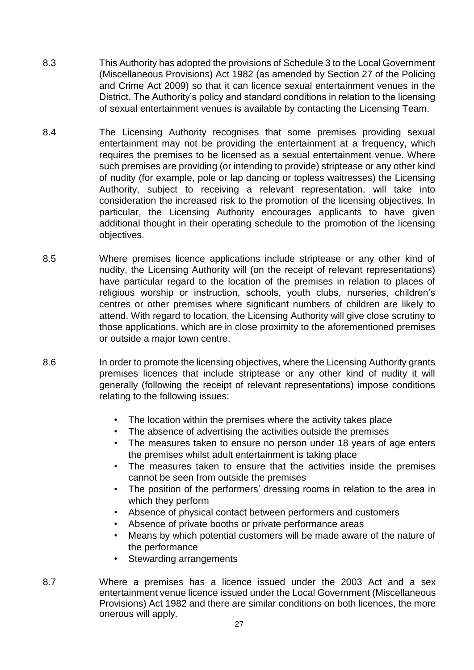- 8.3 This Authority has adopted the provisions of Schedule 3 to the Local Government (Miscellaneous Provisions) Act 1982 (as amended by Section 27 of the Policing and Crime Act 2009) so that it can licence sexual entertainment venues in the District. The Authority's policy and standard conditions in relation to the licensing of sexual entertainment venues is available by contacting the Licensing Team.
- 8.4 The Licensing Authority recognises that some premises providing sexual entertainment may not be providing the entertainment at a frequency, which requires the premises to be licensed as a sexual entertainment venue. Where such premises are providing (or intending to provide) striptease or any other kind of nudity (for example, pole or lap dancing or topless waitresses) the Licensing Authority, subject to receiving a relevant representation, will take into consideration the increased risk to the promotion of the licensing objectives. In particular, the Licensing Authority encourages applicants to have given additional thought in their operating schedule to the promotion of the licensing objectives.
- 8.5 Where premises licence applications include striptease or any other kind of nudity, the Licensing Authority will (on the receipt of relevant representations) have particular regard to the location of the premises in relation to places of religious worship or instruction, schools, youth clubs, nurseries, children's centres or other premises where significant numbers of children are likely to attend. With regard to location, the Licensing Authority will give close scrutiny to those applications, which are in close proximity to the aforementioned premises or outside a major town centre.
- 8.6 In order to promote the licensing objectives, where the Licensing Authority grants premises licences that include striptease or any other kind of nudity it will generally (following the receipt of relevant representations) impose conditions relating to the following issues:
	- The location within the premises where the activity takes place
	- The absence of advertising the activities outside the premises
	- The measures taken to ensure no person under 18 years of age enters the premises whilst adult entertainment is taking place
	- The measures taken to ensure that the activities inside the premises cannot be seen from outside the premises
	- The position of the performers' dressing rooms in relation to the area in which they perform
	- Absence of physical contact between performers and customers
	- Absence of private booths or private performance areas
	- Means by which potential customers will be made aware of the nature of the performance
	- Stewarding arrangements
- 8.7 Where a premises has a licence issued under the 2003 Act and a sex entertainment venue licence issued under the Local Government (Miscellaneous Provisions) Act 1982 and there are similar conditions on both licences, the more onerous will apply.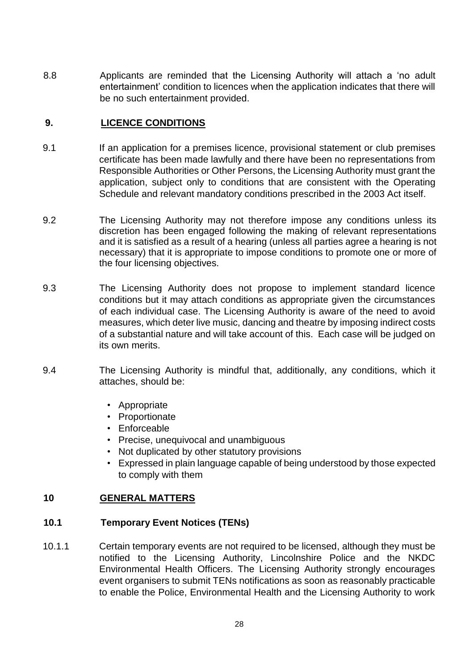8.8 Applicants are reminded that the Licensing Authority will attach a 'no adult entertainment' condition to licences when the application indicates that there will be no such entertainment provided.

## **9. LICENCE CONDITIONS**

- 9.1 If an application for a premises licence, provisional statement or club premises certificate has been made lawfully and there have been no representations from Responsible Authorities or Other Persons, the Licensing Authority must grant the application, subject only to conditions that are consistent with the Operating Schedule and relevant mandatory conditions prescribed in the 2003 Act itself.
- 9.2 The Licensing Authority may not therefore impose any conditions unless its discretion has been engaged following the making of relevant representations and it is satisfied as a result of a hearing (unless all parties agree a hearing is not necessary) that it is appropriate to impose conditions to promote one or more of the four licensing objectives.
- 9.3 The Licensing Authority does not propose to implement standard licence conditions but it may attach conditions as appropriate given the circumstances of each individual case. The Licensing Authority is aware of the need to avoid measures, which deter live music, dancing and theatre by imposing indirect costs of a substantial nature and will take account of this. Each case will be judged on its own merits.
- 9.4 The Licensing Authority is mindful that, additionally, any conditions, which it attaches, should be:
	- Appropriate
	- Proportionate
	- Enforceable
	- Precise, unequivocal and unambiguous
	- Not duplicated by other statutory provisions
	- Expressed in plain language capable of being understood by those expected to comply with them

#### **10 GENERAL MATTERS**

## **10.1 Temporary Event Notices (TENs)**

10.1.1 Certain temporary events are not required to be licensed, although they must be notified to the Licensing Authority, Lincolnshire Police and the NKDC Environmental Health Officers. The Licensing Authority strongly encourages event organisers to submit TENs notifications as soon as reasonably practicable to enable the Police, Environmental Health and the Licensing Authority to work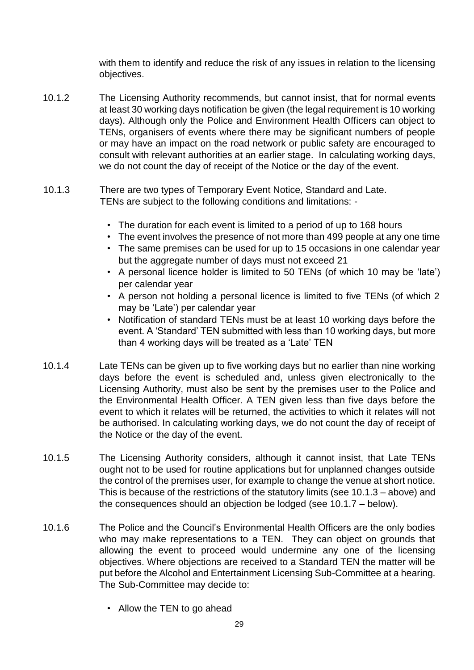with them to identify and reduce the risk of any issues in relation to the licensing objectives.

- 10.1.2 The Licensing Authority recommends, but cannot insist, that for normal events at least 30 working days notification be given (the legal requirement is 10 working days). Although only the Police and Environment Health Officers can object to TENs, organisers of events where there may be significant numbers of people or may have an impact on the road network or public safety are encouraged to consult with relevant authorities at an earlier stage. In calculating working days, we do not count the day of receipt of the Notice or the day of the event.
- 10.1.3 There are two types of Temporary Event Notice, Standard and Late. TENs are subject to the following conditions and limitations: -
	- The duration for each event is limited to a period of up to 168 hours
	- The event involves the presence of not more than 499 people at any one time
	- The same premises can be used for up to 15 occasions in one calendar year but the aggregate number of days must not exceed 21
	- A personal licence holder is limited to 50 TENs (of which 10 may be 'late') per calendar year
	- A person not holding a personal licence is limited to five TENs (of which 2 may be 'Late') per calendar year
	- Notification of standard TENs must be at least 10 working days before the event. A 'Standard' TEN submitted with less than 10 working days, but more than 4 working days will be treated as a 'Late' TEN
- 10.1.4 Late TENs can be given up to five working days but no earlier than nine working days before the event is scheduled and, unless given electronically to the Licensing Authority, must also be sent by the premises user to the Police and the Environmental Health Officer. A TEN given less than five days before the event to which it relates will be returned, the activities to which it relates will not be authorised. In calculating working days, we do not count the day of receipt of the Notice or the day of the event.
- 10.1.5 The Licensing Authority considers, although it cannot insist, that Late TENs ought not to be used for routine applications but for unplanned changes outside the control of the premises user, for example to change the venue at short notice. This is because of the restrictions of the statutory limits (see 10.1.3 – above) and the consequences should an objection be lodged (see 10.1.7 – below).
- 10.1.6 The Police and the Council's Environmental Health Officers are the only bodies who may make representations to a TEN. They can object on grounds that allowing the event to proceed would undermine any one of the licensing objectives. Where objections are received to a Standard TEN the matter will be put before the Alcohol and Entertainment Licensing Sub-Committee at a hearing. The Sub-Committee may decide to:
	- Allow the TEN to go ahead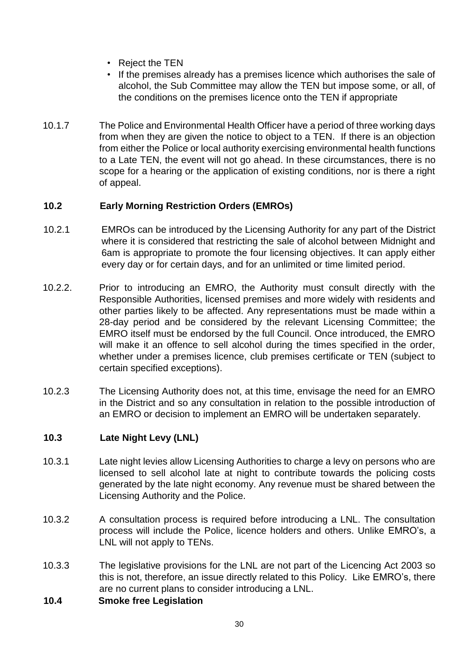- Reject the TEN
- If the premises already has a premises licence which authorises the sale of alcohol, the Sub Committee may allow the TEN but impose some, or all, of the conditions on the premises licence onto the TEN if appropriate
- 10.1.7 The Police and Environmental Health Officer have a period of three working days from when they are given the notice to object to a TEN. If there is an objection from either the Police or local authority exercising environmental health functions to a Late TEN, the event will not go ahead. In these circumstances, there is no scope for a hearing or the application of existing conditions, nor is there a right of appeal.

## **10.2 Early Morning Restriction Orders (EMROs)**

- 10.2.1 EMROs can be introduced by the Licensing Authority for any part of the District where it is considered that restricting the sale of alcohol between Midnight and 6am is appropriate to promote the four licensing objectives. It can apply either every day or for certain days, and for an unlimited or time limited period.
- 10.2.2. Prior to introducing an EMRO, the Authority must consult directly with the Responsible Authorities, licensed premises and more widely with residents and other parties likely to be affected. Any representations must be made within a 28-day period and be considered by the relevant Licensing Committee; the EMRO itself must be endorsed by the full Council. Once introduced, the EMRO will make it an offence to sell alcohol during the times specified in the order, whether under a premises licence, club premises certificate or TEN (subject to certain specified exceptions).
- 10.2.3 The Licensing Authority does not, at this time, envisage the need for an EMRO in the District and so any consultation in relation to the possible introduction of an EMRO or decision to implement an EMRO will be undertaken separately.

## **10.3 Late Night Levy (LNL)**

- 10.3.1 Late night levies allow Licensing Authorities to charge a levy on persons who are licensed to sell alcohol late at night to contribute towards the policing costs generated by the late night economy. Any revenue must be shared between the Licensing Authority and the Police.
- 10.3.2 A consultation process is required before introducing a LNL. The consultation process will include the Police, licence holders and others. Unlike EMRO's, a LNL will not apply to TENs.
- 10.3.3 The legislative provisions for the LNL are not part of the Licencing Act 2003 so this is not, therefore, an issue directly related to this Policy. Like EMRO's, there are no current plans to consider introducing a LNL.
- **10.4 Smoke free Legislation**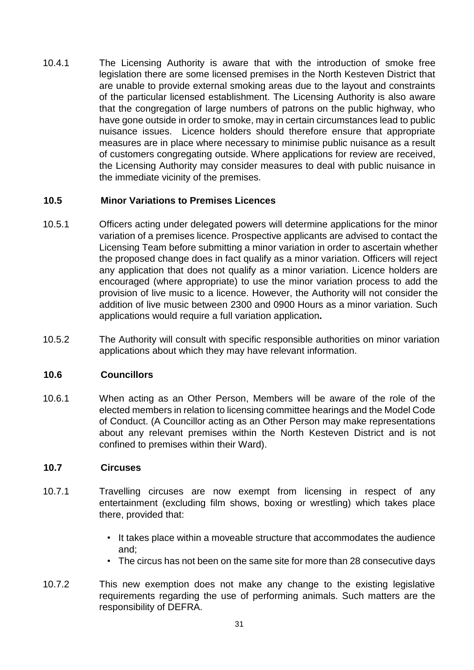10.4.1 The Licensing Authority is aware that with the introduction of smoke free legislation there are some licensed premises in the North Kesteven District that are unable to provide external smoking areas due to the layout and constraints of the particular licensed establishment. The Licensing Authority is also aware that the congregation of large numbers of patrons on the public highway, who have gone outside in order to smoke, may in certain circumstances lead to public nuisance issues. Licence holders should therefore ensure that appropriate measures are in place where necessary to minimise public nuisance as a result of customers congregating outside. Where applications for review are received, the Licensing Authority may consider measures to deal with public nuisance in the immediate vicinity of the premises.

## **10.5 Minor Variations to Premises Licences**

- 10.5.1 Officers acting under delegated powers will determine applications for the minor variation of a premises licence. Prospective applicants are advised to contact the Licensing Team before submitting a minor variation in order to ascertain whether the proposed change does in fact qualify as a minor variation. Officers will reject any application that does not qualify as a minor variation. Licence holders are encouraged (where appropriate) to use the minor variation process to add the provision of live music to a licence. However, the Authority will not consider the addition of live music between 2300 and 0900 Hours as a minor variation. Such applications would require a full variation application*.*
- 10.5.2 The Authority will consult with specific responsible authorities on minor variation applications about which they may have relevant information.

## **10.6 Councillors**

10.6.1 When acting as an Other Person, Members will be aware of the role of the elected members in relation to licensing committee hearings and the Model Code of Conduct. (A Councillor acting as an Other Person may make representations about any relevant premises within the North Kesteven District and is not confined to premises within their Ward).

#### **10.7 Circuses**

- 10.7.1 Travelling circuses are now exempt from licensing in respect of any entertainment (excluding film shows, boxing or wrestling) which takes place there, provided that:
	- It takes place within a moveable structure that accommodates the audience and;
	- The circus has not been on the same site for more than 28 consecutive days
- 10.7.2 This new exemption does not make any change to the existing legislative requirements regarding the use of performing animals. Such matters are the responsibility of DEFRA.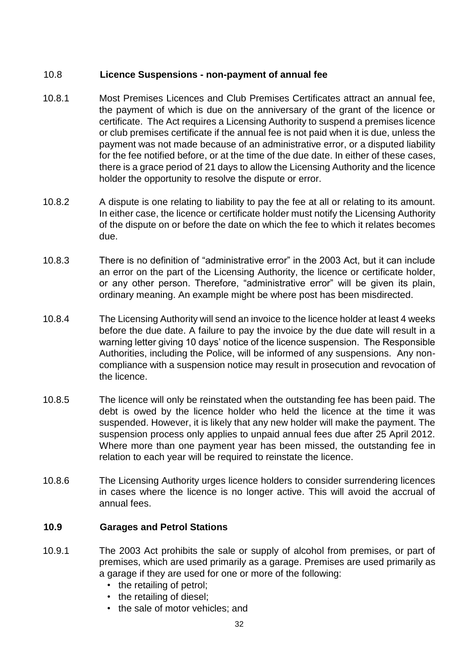## 10.8 **Licence Suspensions - non-payment of annual fee**

- 10.8.1 Most Premises Licences and Club Premises Certificates attract an annual fee, the payment of which is due on the anniversary of the grant of the licence or certificate. The Act requires a Licensing Authority to suspend a premises licence or club premises certificate if the annual fee is not paid when it is due, unless the payment was not made because of an administrative error, or a disputed liability for the fee notified before, or at the time of the due date. In either of these cases, there is a grace period of 21 days to allow the Licensing Authority and the licence holder the opportunity to resolve the dispute or error.
- 10.8.2 A dispute is one relating to liability to pay the fee at all or relating to its amount. In either case, the licence or certificate holder must notify the Licensing Authority of the dispute on or before the date on which the fee to which it relates becomes due.
- 10.8.3 There is no definition of "administrative error" in the 2003 Act, but it can include an error on the part of the Licensing Authority, the licence or certificate holder, or any other person. Therefore, "administrative error" will be given its plain, ordinary meaning. An example might be where post has been misdirected.
- 10.8.4 The Licensing Authority will send an invoice to the licence holder at least 4 weeks before the due date. A failure to pay the invoice by the due date will result in a warning letter giving 10 days' notice of the licence suspension. The Responsible Authorities, including the Police, will be informed of any suspensions. Any noncompliance with a suspension notice may result in prosecution and revocation of the licence.
- 10.8.5 The licence will only be reinstated when the outstanding fee has been paid. The debt is owed by the licence holder who held the licence at the time it was suspended. However, it is likely that any new holder will make the payment. The suspension process only applies to unpaid annual fees due after 25 April 2012. Where more than one payment year has been missed, the outstanding fee in relation to each year will be required to reinstate the licence.
- 10.8.6 The Licensing Authority urges licence holders to consider surrendering licences in cases where the licence is no longer active. This will avoid the accrual of annual fees.

## **10.9 Garages and Petrol Stations**

- 10.9.1 The 2003 Act prohibits the sale or supply of alcohol from premises, or part of premises, which are used primarily as a garage. Premises are used primarily as a garage if they are used for one or more of the following:
	- the retailing of petrol;
	- the retailing of diesel;
	- the sale of motor vehicles; and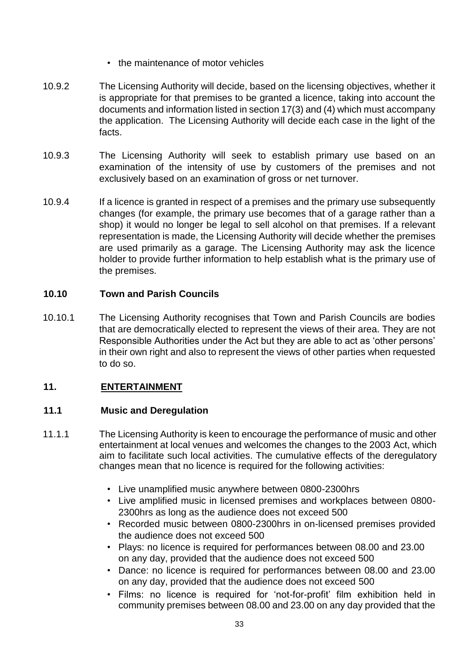- the maintenance of motor vehicles
- 10.9.2 The Licensing Authority will decide, based on the licensing objectives, whether it is appropriate for that premises to be granted a licence, taking into account the documents and information listed in section 17(3) and (4) which must accompany the application. The Licensing Authority will decide each case in the light of the facts.
- 10.9.3 The Licensing Authority will seek to establish primary use based on an examination of the intensity of use by customers of the premises and not exclusively based on an examination of gross or net turnover.
- 10.9.4 If a licence is granted in respect of a premises and the primary use subsequently changes (for example, the primary use becomes that of a garage rather than a shop) it would no longer be legal to sell alcohol on that premises. If a relevant representation is made, the Licensing Authority will decide whether the premises are used primarily as a garage. The Licensing Authority may ask the licence holder to provide further information to help establish what is the primary use of the premises.

## **10.10 Town and Parish Councils**

10.10.1 The Licensing Authority recognises that Town and Parish Councils are bodies that are democratically elected to represent the views of their area. They are not Responsible Authorities under the Act but they are able to act as 'other persons' in their own right and also to represent the views of other parties when requested to do so.

## **11. ENTERTAINMENT**

## **11.1 Music and Deregulation**

- 11.1.1 The Licensing Authority is keen to encourage the performance of music and other entertainment at local venues and welcomes the changes to the 2003 Act, which aim to facilitate such local activities. The cumulative effects of the deregulatory changes mean that no licence is required for the following activities:
	- Live unamplified music anywhere between 0800-2300hrs
	- Live amplified music in licensed premises and workplaces between 0800- 2300hrs as long as the audience does not exceed 500
	- Recorded music between 0800-2300hrs in on-licensed premises provided the audience does not exceed 500
	- Plays: no licence is required for performances between 08.00 and 23.00 on any day, provided that the audience does not exceed 500
	- Dance: no licence is required for performances between 08.00 and 23.00 on any day, provided that the audience does not exceed 500
	- Films: no licence is required for 'not-for-profit' film exhibition held in community premises between 08.00 and 23.00 on any day provided that the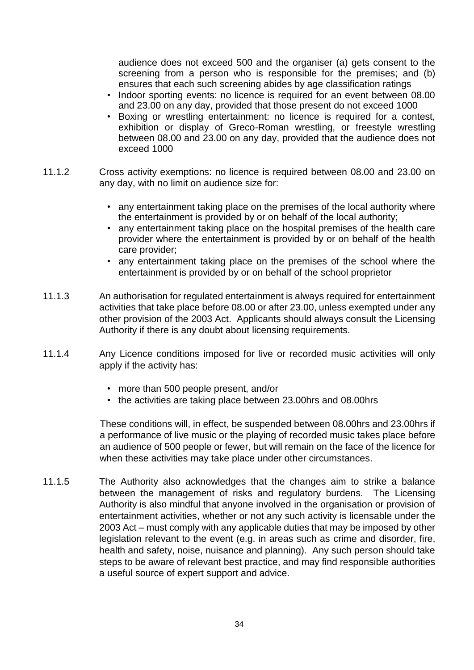audience does not exceed 500 and the organiser (a) gets consent to the screening from a person who is responsible for the premises; and (b) ensures that each such screening abides by age classification ratings

- Indoor sporting events: no licence is required for an event between 08.00 and 23.00 on any day, provided that those present do not exceed 1000
- Boxing or wrestling entertainment: no licence is required for a contest, exhibition or display of Greco-Roman wrestling, or freestyle wrestling between 08.00 and 23.00 on any day, provided that the audience does not exceed 1000
- 11.1.2 Cross activity exemptions: no licence is required between 08.00 and 23.00 on any day, with no limit on audience size for:
	- any entertainment taking place on the premises of the local authority where the entertainment is provided by or on behalf of the local authority;
	- any entertainment taking place on the hospital premises of the health care provider where the entertainment is provided by or on behalf of the health care provider;
	- any entertainment taking place on the premises of the school where the entertainment is provided by or on behalf of the school proprietor
- 11.1.3 An authorisation for regulated entertainment is always required for entertainment activities that take place before 08.00 or after 23.00, unless exempted under any other provision of the 2003 Act. Applicants should always consult the Licensing Authority if there is any doubt about licensing requirements.
- 11.1.4 Any Licence conditions imposed for live or recorded music activities will only apply if the activity has:
	- more than 500 people present, and/or
	- the activities are taking place between 23.00hrs and 08.00hrs

These conditions will, in effect, be suspended between 08.00hrs and 23.00hrs if a performance of live music or the playing of recorded music takes place before an audience of 500 people or fewer, but will remain on the face of the licence for when these activities may take place under other circumstances.

11.1.5 The Authority also acknowledges that the changes aim to strike a balance between the management of risks and regulatory burdens. The Licensing Authority is also mindful that anyone involved in the organisation or provision of entertainment activities, whether or not any such activity is licensable under the 2003 Act – must comply with any applicable duties that may be imposed by other legislation relevant to the event (e.g. in areas such as crime and disorder, fire, health and safety, noise, nuisance and planning). Any such person should take steps to be aware of relevant best practice, and may find responsible authorities a useful source of expert support and advice.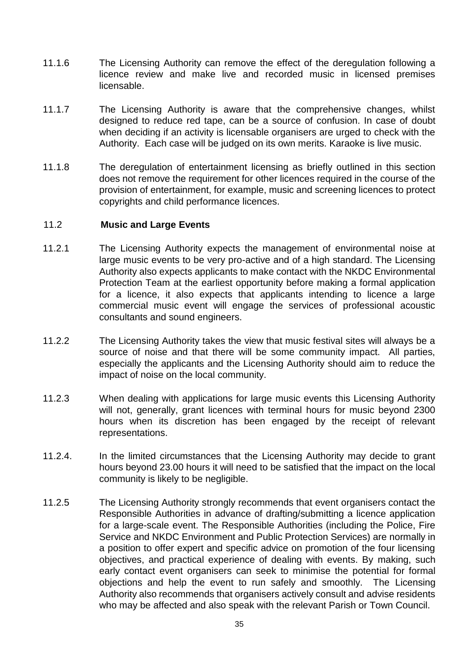- 11.1.6 The Licensing Authority can remove the effect of the deregulation following a licence review and make live and recorded music in licensed premises licensable.
- 11.1.7 The Licensing Authority is aware that the comprehensive changes, whilst designed to reduce red tape, can be a source of confusion. In case of doubt when deciding if an activity is licensable organisers are urged to check with the Authority. Each case will be judged on its own merits. Karaoke is live music.
- 11.1.8 The deregulation of entertainment licensing as briefly outlined in this section does not remove the requirement for other licences required in the course of the provision of entertainment, for example, music and screening licences to protect copyrights and child performance licences.

#### 11.2 **Music and Large Events**

- 11.2.1 The Licensing Authority expects the management of environmental noise at large music events to be very pro-active and of a high standard. The Licensing Authority also expects applicants to make contact with the NKDC Environmental Protection Team at the earliest opportunity before making a formal application for a licence, it also expects that applicants intending to licence a large commercial music event will engage the services of professional acoustic consultants and sound engineers.
- 11.2.2 The Licensing Authority takes the view that music festival sites will always be a source of noise and that there will be some community impact. All parties, especially the applicants and the Licensing Authority should aim to reduce the impact of noise on the local community.
- 11.2.3 When dealing with applications for large music events this Licensing Authority will not, generally, grant licences with terminal hours for music beyond 2300 hours when its discretion has been engaged by the receipt of relevant representations.
- 11.2.4. In the limited circumstances that the Licensing Authority may decide to grant hours beyond 23.00 hours it will need to be satisfied that the impact on the local community is likely to be negligible.
- 11.2.5 The Licensing Authority strongly recommends that event organisers contact the Responsible Authorities in advance of drafting/submitting a licence application for a large-scale event. The Responsible Authorities (including the Police, Fire Service and NKDC Environment and Public Protection Services) are normally in a position to offer expert and specific advice on promotion of the four licensing objectives, and practical experience of dealing with events. By making, such early contact event organisers can seek to minimise the potential for formal objections and help the event to run safely and smoothly. The Licensing Authority also recommends that organisers actively consult and advise residents who may be affected and also speak with the relevant Parish or Town Council.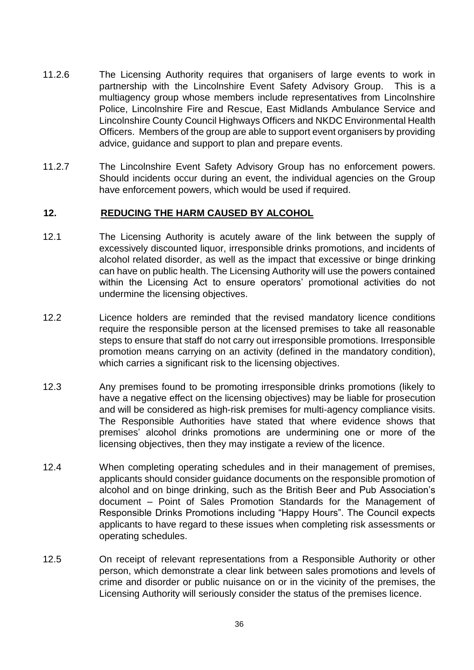- 11.2.6 The Licensing Authority requires that organisers of large events to work in partnership with the Lincolnshire Event Safety Advisory Group. This is a multiagency group whose members include representatives from Lincolnshire Police, Lincolnshire Fire and Rescue, East Midlands Ambulance Service and Lincolnshire County Council Highways Officers and NKDC Environmental Health Officers. Members of the group are able to support event organisers by providing advice, guidance and support to plan and prepare events.
- 11.2.7 The Lincolnshire Event Safety Advisory Group has no enforcement powers. Should incidents occur during an event, the individual agencies on the Group have enforcement powers, which would be used if required.

#### **12. REDUCING THE HARM CAUSED BY ALCOHOL**

- 12.1 The Licensing Authority is acutely aware of the link between the supply of excessively discounted liquor, irresponsible drinks promotions, and incidents of alcohol related disorder, as well as the impact that excessive or binge drinking can have on public health. The Licensing Authority will use the powers contained within the Licensing Act to ensure operators' promotional activities do not undermine the licensing objectives.
- 12.2 Licence holders are reminded that the revised mandatory licence conditions require the responsible person at the licensed premises to take all reasonable steps to ensure that staff do not carry out irresponsible promotions. Irresponsible promotion means carrying on an activity (defined in the mandatory condition), which carries a significant risk to the licensing objectives.
- 12.3 Any premises found to be promoting irresponsible drinks promotions (likely to have a negative effect on the licensing objectives) may be liable for prosecution and will be considered as high-risk premises for multi-agency compliance visits. The Responsible Authorities have stated that where evidence shows that premises' alcohol drinks promotions are undermining one or more of the licensing objectives, then they may instigate a review of the licence.
- 12.4 When completing operating schedules and in their management of premises, applicants should consider guidance documents on the responsible promotion of alcohol and on binge drinking, such as the British Beer and Pub Association's document – Point of Sales Promotion Standards for the Management of Responsible Drinks Promotions including "Happy Hours". The Council expects applicants to have regard to these issues when completing risk assessments or operating schedules.
- 12.5 On receipt of relevant representations from a Responsible Authority or other person, which demonstrate a clear link between sales promotions and levels of crime and disorder or public nuisance on or in the vicinity of the premises, the Licensing Authority will seriously consider the status of the premises licence.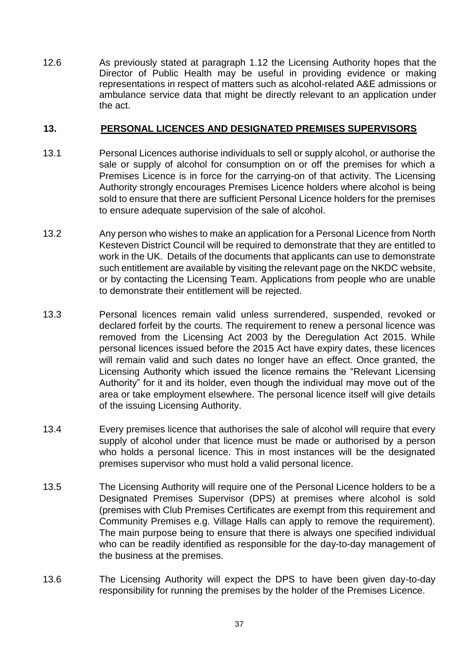12.6 As previously stated at paragraph 1.12 the Licensing Authority hopes that the Director of Public Health may be useful in providing evidence or making representations in respect of matters such as alcohol-related A&E admissions or ambulance service data that might be directly relevant to an application under the act.

#### **13. PERSONAL LICENCES AND DESIGNATED PREMISES SUPERVISORS**

- 13.1 Personal Licences authorise individuals to sell or supply alcohol, or authorise the sale or supply of alcohol for consumption on or off the premises for which a Premises Licence is in force for the carrying-on of that activity. The Licensing Authority strongly encourages Premises Licence holders where alcohol is being sold to ensure that there are sufficient Personal Licence holders for the premises to ensure adequate supervision of the sale of alcohol.
- 13.2 Any person who wishes to make an application for a Personal Licence from North Kesteven District Council will be required to demonstrate that they are entitled to work in the UK. Details of the documents that applicants can use to demonstrate such entitlement are available by visiting the relevant page on the NKDC website, or by contacting the Licensing Team. Applications from people who are unable to demonstrate their entitlement will be rejected.
- 13.3 Personal licences remain valid unless surrendered, suspended, revoked or declared forfeit by the courts. The requirement to renew a personal licence was removed from the Licensing Act 2003 by the Deregulation Act 2015. While personal licences issued before the 2015 Act have expiry dates, these licences will remain valid and such dates no longer have an effect. Once granted, the Licensing Authority which issued the licence remains the "Relevant Licensing Authority" for it and its holder, even though the individual may move out of the area or take employment elsewhere. The personal licence itself will give details of the issuing Licensing Authority.
- 13.4 Every premises licence that authorises the sale of alcohol will require that every supply of alcohol under that licence must be made or authorised by a person who holds a personal licence. This in most instances will be the designated premises supervisor who must hold a valid personal licence.
- 13.5 The Licensing Authority will require one of the Personal Licence holders to be a Designated Premises Supervisor (DPS) at premises where alcohol is sold (premises with Club Premises Certificates are exempt from this requirement and Community Premises e.g. Village Halls can apply to remove the requirement). The main purpose being to ensure that there is always one specified individual who can be readily identified as responsible for the day-to-day management of the business at the premises.
- 13.6 The Licensing Authority will expect the DPS to have been given day-to-day responsibility for running the premises by the holder of the Premises Licence.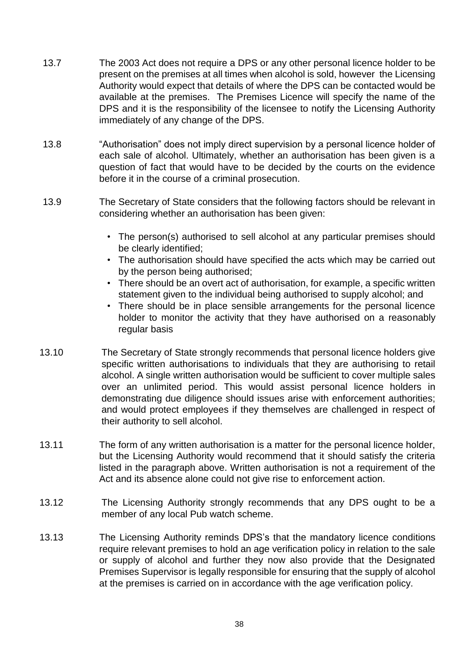- 13.7 The 2003 Act does not require a DPS or any other personal licence holder to be present on the premises at all times when alcohol is sold, however the Licensing Authority would expect that details of where the DPS can be contacted would be available at the premises. The Premises Licence will specify the name of the DPS and it is the responsibility of the licensee to notify the Licensing Authority immediately of any change of the DPS.
- 13.8 "Authorisation" does not imply direct supervision by a personal licence holder of each sale of alcohol. Ultimately, whether an authorisation has been given is a question of fact that would have to be decided by the courts on the evidence before it in the course of a criminal prosecution.
- 13.9 The Secretary of State considers that the following factors should be relevant in considering whether an authorisation has been given:
	- The person(s) authorised to sell alcohol at any particular premises should be clearly identified;
	- The authorisation should have specified the acts which may be carried out by the person being authorised;
	- There should be an overt act of authorisation, for example, a specific written statement given to the individual being authorised to supply alcohol; and
	- There should be in place sensible arrangements for the personal licence holder to monitor the activity that they have authorised on a reasonably regular basis
- 13.10 The Secretary of State strongly recommends that personal licence holders give specific written authorisations to individuals that they are authorising to retail alcohol. A single written authorisation would be sufficient to cover multiple sales over an unlimited period. This would assist personal licence holders in demonstrating due diligence should issues arise with enforcement authorities; and would protect employees if they themselves are challenged in respect of their authority to sell alcohol.
- 13.11 The form of any written authorisation is a matter for the personal licence holder, but the Licensing Authority would recommend that it should satisfy the criteria listed in the paragraph above. Written authorisation is not a requirement of the Act and its absence alone could not give rise to enforcement action.
- 13.12 The Licensing Authority strongly recommends that any DPS ought to be a member of any local Pub watch scheme.
- 13.13 The Licensing Authority reminds DPS's that the mandatory licence conditions require relevant premises to hold an age verification policy in relation to the sale or supply of alcohol and further they now also provide that the Designated Premises Supervisor is legally responsible for ensuring that the supply of alcohol at the premises is carried on in accordance with the age verification policy.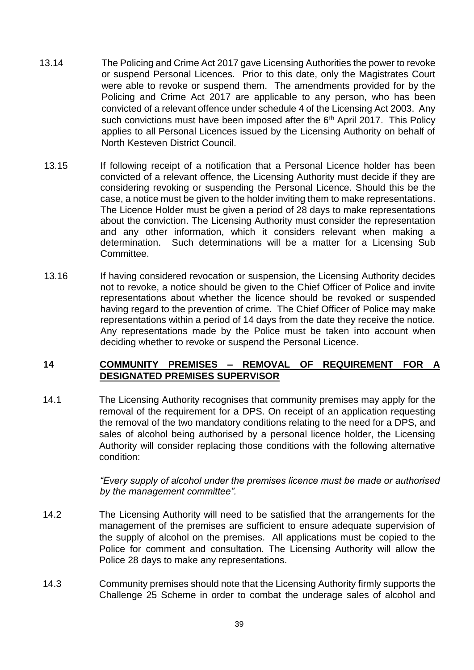- 13.14 The Policing and Crime Act 2017 gave Licensing Authorities the power to revoke or suspend Personal Licences. Prior to this date, only the Magistrates Court were able to revoke or suspend them. The amendments provided for by the Policing and Crime Act 2017 are applicable to any person, who has been convicted of a relevant offence under schedule 4 of the Licensing Act 2003. Any such convictions must have been imposed after the  $6<sup>th</sup>$  April 2017. This Policy applies to all Personal Licences issued by the Licensing Authority on behalf of North Kesteven District Council.
- 13.15 If following receipt of a notification that a Personal Licence holder has been convicted of a relevant offence, the Licensing Authority must decide if they are considering revoking or suspending the Personal Licence. Should this be the case, a notice must be given to the holder inviting them to make representations. The Licence Holder must be given a period of 28 days to make representations about the conviction. The Licensing Authority must consider the representation and any other information, which it considers relevant when making a determination. Such determinations will be a matter for a Licensing Sub Committee.
- 13.16 If having considered revocation or suspension, the Licensing Authority decides not to revoke, a notice should be given to the Chief Officer of Police and invite representations about whether the licence should be revoked or suspended having regard to the prevention of crime. The Chief Officer of Police may make representations within a period of 14 days from the date they receive the notice. Any representations made by the Police must be taken into account when deciding whether to revoke or suspend the Personal Licence.

## **14 COMMUNITY PREMISES – REMOVAL OF REQUIREMENT FOR A DESIGNATED PREMISES SUPERVISOR**

14.1 The Licensing Authority recognises that community premises may apply for the removal of the requirement for a DPS. On receipt of an application requesting the removal of the two mandatory conditions relating to the need for a DPS, and sales of alcohol being authorised by a personal licence holder, the Licensing Authority will consider replacing those conditions with the following alternative condition:

> *"Every supply of alcohol under the premises licence must be made or authorised by the management committee".*

- 14.2 The Licensing Authority will need to be satisfied that the arrangements for the management of the premises are sufficient to ensure adequate supervision of the supply of alcohol on the premises. All applications must be copied to the Police for comment and consultation. The Licensing Authority will allow the Police 28 days to make any representations.
- 14.3 Community premises should note that the Licensing Authority firmly supports the Challenge 25 Scheme in order to combat the underage sales of alcohol and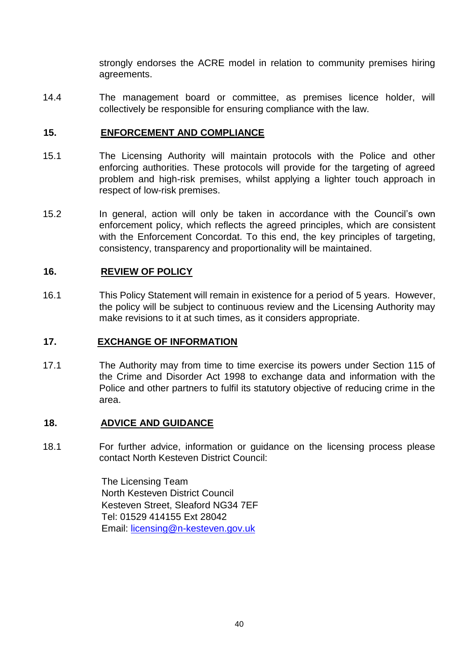strongly endorses the ACRE model in relation to community premises hiring agreements.

14.4 The management board or committee, as premises licence holder, will collectively be responsible for ensuring compliance with the law.

## **15. ENFORCEMENT AND COMPLIANCE**

- 15.1 The Licensing Authority will maintain protocols with the Police and other enforcing authorities. These protocols will provide for the targeting of agreed problem and high-risk premises, whilst applying a lighter touch approach in respect of low-risk premises.
- 15.2 In general, action will only be taken in accordance with the Council's own enforcement policy, which reflects the agreed principles, which are consistent with the Enforcement Concordat. To this end, the key principles of targeting, consistency, transparency and proportionality will be maintained.

## **16. REVIEW OF POLICY**

16.1 This Policy Statement will remain in existence for a period of 5 years. However, the policy will be subject to continuous review and the Licensing Authority may make revisions to it at such times, as it considers appropriate.

#### **17. EXCHANGE OF INFORMATION**

17.1 The Authority may from time to time exercise its powers under Section 115 of the Crime and Disorder Act 1998 to exchange data and information with the Police and other partners to fulfil its statutory objective of reducing crime in the area.

#### **18. ADVICE AND GUIDANCE**

18.1 For further advice, information or guidance on the licensing process please contact North Kesteven District Council:

> The Licensing Team North Kesteven District Council Kesteven Street, Sleaford NG34 7EF Tel: 01529 414155 Ext 28042 Email: licensing@n-kesteven.gov.uk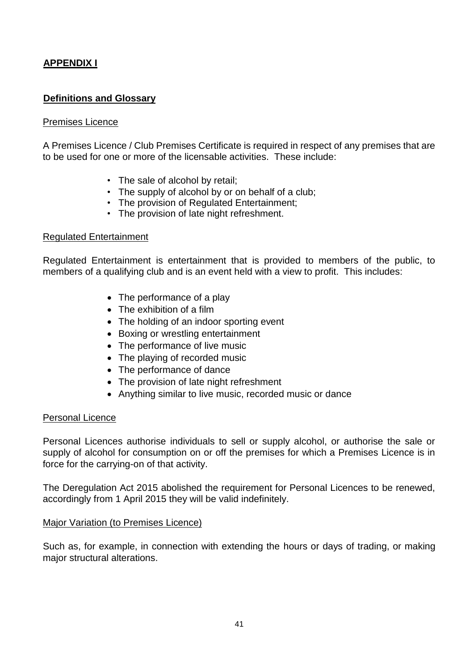## **APPENDIX I**

## **Definitions and Glossary**

#### Premises Licence

A Premises Licence / Club Premises Certificate is required in respect of any premises that are to be used for one or more of the licensable activities. These include:

- The sale of alcohol by retail;
- The supply of alcohol by or on behalf of a club;
- The provision of Regulated Entertainment;
- The provision of late night refreshment.

#### Regulated Entertainment

Regulated Entertainment is entertainment that is provided to members of the public, to members of a qualifying club and is an event held with a view to profit. This includes:

- The performance of a play
- The exhibition of a film
- The holding of an indoor sporting event
- Boxing or wrestling entertainment
- The performance of live music
- The playing of recorded music
- The performance of dance
- The provision of late night refreshment
- Anything similar to live music, recorded music or dance

#### Personal Licence

Personal Licences authorise individuals to sell or supply alcohol, or authorise the sale or supply of alcohol for consumption on or off the premises for which a Premises Licence is in force for the carrying-on of that activity.

The Deregulation Act 2015 abolished the requirement for Personal Licences to be renewed, accordingly from 1 April 2015 they will be valid indefinitely.

#### Major Variation (to Premises Licence)

Such as, for example, in connection with extending the hours or days of trading, or making major structural alterations.